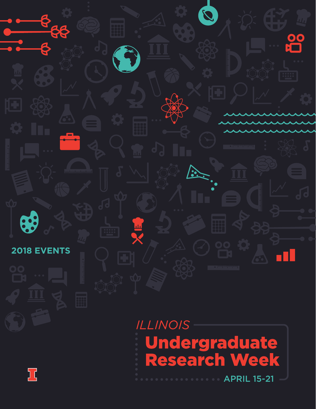

**Undergraduate<br>Research Week APRIL 15-21** 

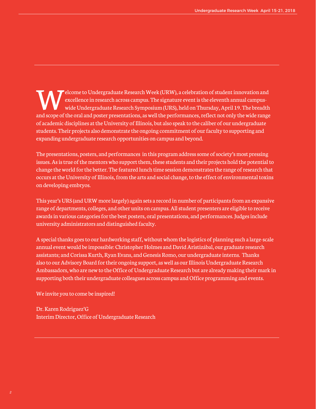Elcome to Undergraduate Research Week (URW), a celebration of student innovation and<br>excellence in research across campus. The signature event is the eleventh annual campus-<br>wide Undergraduate Research Symposium (URS), hel excellence in research across campus. The signature event is the eleventh annual campuswide Undergraduate Research Symposium (URS), held on Thursday, April 19. The breadth and scope of the oral and poster presentations, as well the performances, reflect not only the wide range of academic disciplines at the University of Illinois, but also speak to the caliber of our undergraduate students. Their projects also demonstrate the ongoing commitment of our faculty to supporting and expanding undergraduate research opportunities on campus and beyond.

The presentations, posters, and performances in this program address some of society's most pressing issues. As is true of the mentors who support them, these students and their projects hold the potential to change the world for the better. The featured lunch time session demonstrates the range of research that occurs at the University of Illinois, from the arts and social change, to the effect of environmental toxins on developing embryos.

This year's URS (and URW more largely) again sets a record in number of participants from an expansive range of departments, colleges, and other units on campus. All student presenters are eligible to receive awards in various categories for the best posters, oral presentations, and performances. Judges include university administrators and distinguished faculty.

A special thanks goes to our hardworking staff, without whom the logistics of planning such a large-scale annual event would be impossible: Christopher Holmes and Davíd Aristizábal, our graduate research assistants; and Corissa Kurth, Ryan Evans, and Genesis Romo, our undergraduate interns. Thanks also to our Advisory Board for their ongoing support, as well as our Illinois Undergraduate Research Ambassadors, who are new to the Office of Undergraduate Research but are already making their mark in supporting both their undergraduate colleagues across campus and Office programming and events.

We invite you to come be inspired!

Dr. Karen Rodriguez'G Interim Director, Office of Undergraduate Research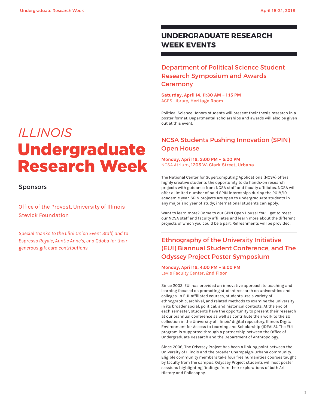# **UNDERGRADUATE RESEARCH WEEK EVENTS**

# Department of Political Science Student Research Symposium and Awards **Ceremony**

**Saturday, April 14, 11:30 AM – 1:15 PM** ACES Library**, Heritage Room**

Political Science Honors students will present their thesis research in a poster format. Departmental scholarships and awards will also be given out at this event.

# NCSA Students Pushing Innovation (SPIN) Open House

**Monday, April 16, 3:00 PM – 5:00 PM** NCSA Atrium**, 1205 W. Clark Street, Urbana**

The National Center for Supercomputing Applications (NCSA) offers highly creative students the opportunity to do hands-on research projects with guidance from NCSA staff and faculty affiliates. NCSA will offer a limited number of paid SPIN internships during the 2018/19 academic year. SPIN projects are open to undergraduate students in any major and year of study; international students can apply.

Want to learn more? Come to our SPIN Open House! You'll get to meet our NCSA staff and faculty affiliates and learn more about the different projects of which you could be a part. Refreshments will be provided.

# Ethnography of the University Initiative (EUI) Biannual Student Conference, and The Odyssey Project Poster Symposium

**Monday, April 16, 4:00 PM – 8:00 PM** Levis Faculty Center**, 2nd Floor**

Since 2003, EUI has provided an innovative approach to teaching and learning focused on promoting student research on universities and colleges. In EUI-affiliated courses, students use a variety of ethnographic, archival, and related methods to examine the university in its broader social, political, and historical contexts. At the end of each semester, students have the opportunity to present their research at our biannual conference as well as contribute their work to the EUI collection in the University of Illinois' digital repository, Illinois Digital Environment for Access to Learning and Scholarship (IDEALS). The EUI program is supported through a partnership between the Office of Undergraduate Research and the Department of Anthropology.

Since 2006, The Odyssey Project has been a linking point between the University of Illinois and the broader Champaign-Urbana community. Eligible community members take four free humanities courses taught by faculty from the campus. Odyssey Project students will host poster sessions highlighting findings from their explorations of both Art History and Philosophy.

# **ILLINOIS** Undergraduate **Research Week**

# Sponsors

Office of the Provost, University of Illinois Stevick Foundation

*Special thanks to the Illini Union Event Staff, and to Espresso Royale, Auntie Anne's, and Qdoba for their generous gift card contributions.*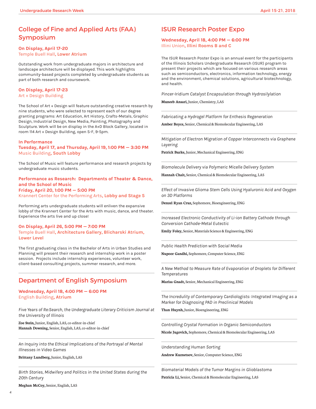# College of Fine and Applied Arts (FAA) Symposium

## **On Display, April 17-20**  Temple Buell Hall**, Lower Atrium**

Outstanding work from undergraduate majors in architecture and landscape architecture will be displayed. This work highlights community-based projects completed by undergraduate students as part of both research and coursework.

# **On Display, April 17-23**

Art + Design Building

The School of Art + Design will feature outstanding creative research by nine students, who were selected to represent each of our degree granting programs: Art Education, Art History, Crafts-Metals, Graphic Design, Industrial Design, New Media, Painting, Photography and Sculpture. Work will be on display in the A+D Block Gallery, located in room 114 Art + Design Building, open S-F, 9-5pm.

#### **In Performance**

**Tuesday, April 17, and Thursday, April 19, 1:00 PM — 3:30 PM** Music Building**, South Lobby**

The School of Music will feature performance and research projects by undergraduate music students.

**Performance as Research: Departments of Theater & Dance, and the School of Music Friday, April 20, 1:00 PM — 5:00 PM** Krannert Center for the Performing Arts**, Lobby and Stage 5**

Performing arts undergraduate students will enliven the expansive lobby of the Krannert Center for the Arts with music, dance, and theater. Experience the arts live and up close!

**On Display, April 26, 5:00 PM — 7:00 PM** Temple Buell Hall**, Architecture Gallery, Blicharski Atrium, Lower Level**

The first graduating class in the Bachelor of Arts in Urban Studies and Planning will present their research and internship work in a poster session. Projects include internship experiences, volunteer work, client-based consulting projects, summer research, and more.

# Department of English Symposium

**Wednesday, April 18, 4:00 PM — 6:00 PM** English Building**, Atrium**

*Five Years of Re:Search, the Undergraduate Literary Criticism Journal at the University of Illinois* 

**Zoe Stein,** Junior, English, LAS, co-editor-in-chief **Hannah Downing,** Senior, English, LAS, co-editor-in-chief

*An Inquiry into the Ethical Implications of the Portrayal of Mental Illnesses in Video Games*

**Brittany Lundberg,** Junior, English, LAS

*Birth Stories, Midwifery and Politics in the United States during the 20th Century*

**Meghan McCoy,** Senior, English, LAS

# ISUR Research Poster Expo

#### **Wednesday, April 18, 4:00 PM — 6:00 PM** Illini Union**, Illini Rooms B and C**

The ISUR Research Poster Expo is an annual event for the participants of the Illinois Scholars Undergraduate Research (ISUR) program to present their projects which are focused on various research areas such as semiconductors, electronics, information technology, energy and the environment, chemical solutions, agricultural biotechnology, and health.

*Pincer-Iridium Catalyst Encapsulation through Hydrosilylation*

**Muneeb Ansari,** Junior, Chemistry, LAS

*Fabricating a Hydrogel Platform for Enthesis Regeneration*

**Amber Boyce,** Senior, Chemical & Biomolecular Engineering, LAS

*Mitigation of Electron Migration of Copper Interconnects via Graphene Layering* 

**Patrick Burke,** Junior, Mechanical Engineering, ENG

*Biomolecule Delivery via Polymeric Micelle Delivery System* 

**Hannah Chait,** Senior, Chemical & Biomolecular Engineering, LAS

*Effect of Invasive Glioma Stem Cells Using Hyaluronic Acid and Oxygen on 3D Platforms*

**Denzel Ryan Cruz,** Sophomore, Bioengineering, ENG

*Increased Electronic Conductivity of Li-ion Battery Cathode through Conversion Cathode-Metal Eutectic*

**Emily Foley,** Senior, Materials Science & Engineering, ENG

*Public Health Prediction with Social Media*

**Nupoor Gandhi,** Sophomore, Computer Science, ENG

*A New Method to Measure Rate of Evaporation of Droplets for Different Temperatures* 

**Marisa Gnadt,** Senior, Mechanical Engineering, ENG

*The Incredulity of Contemporary Cardiologists: Integrated Imaging as a Marker for Diagnosing PAD in Preclinical Models*

**Than Huynh,** Junior, Bioengineering, ENG

*Controlling Crystal Formation in Organic Semiconductors*

**Nicole Jugovich,** Sophomore, Chemical & Biomolecular Engineering, LAS

*Understanding Human Sorting*

**Andrew Kuznetsov,** Senior, Computer Science, ENG

*Biomaterial Models of the Tumor Margins in Glioblastoma*

**Patricia Li,** Senior, Chemical & Biomolecular Engineering, LAS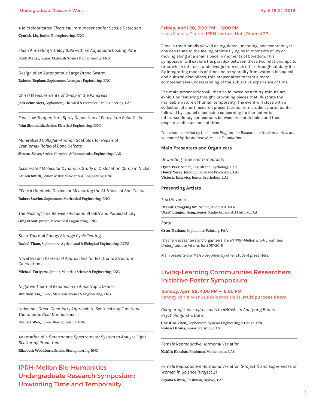*A Microfabricated Electrical Immunosensor for Sepsis Detection* **Cynthia Liu,** Junior, Bioengineering, ENG

*Flash Annealing Vitreloy 106a with an Adjustable Cooling Rate* **Jacob Maher,** Junior, Materials Science & Engineering, ENG

*Design of an Autonomous Large Drone Swarm*

**Raimon Roglans,** Sophomore, Aerospace Engineering, ENG

*Chiral Measurements of D-Asp in the Pancreas*

**Jack Schnieders,** Sophomore, Chemical & Biomolecular Engineering, LAS

*Fast, Low-Temperature Spray Deposition of Perovskite Solar Cells* **John Simonaitis,** Senior, Electrical Engineering, ENG

*Mineralized Collagen-Amnion Scaffolds for Repair of Craniomaxillofacial Bone Defects*

**Simona Slater,** Senior, Chemical & Biomolecular Engineering, LAS

*Accelerated Molecular Dynamics Study of Dislocation Climb in Nickel* **Lauren Smith,** Senior, Materials Science & Engineering, ENG

*EPen: A Handheld Device for Measuring the Stiffness of Soft Tissue* **Robert Stavins,** Sophomore, Mechanical Engineering, ENG

*The Missing Link Between Acoustic Stealth and Poroelasticity* **Greg Stroot,** Junior, Mechanical Engineering, ENG

*Solar Thermal Energy Storage Cycle Testing* **Rachel Tham,** Sophomore, Agricultural & Biological Engineering, ACES

*Novel Graph Theoretical Approaches for Electronic Structure Calculations*

**Michael Toriyama,** Junior, Materials Science & Engineering, ENG

*Negative Thermal Expansion in Anisotropic Oxides*

**Whitney Tso,** Junior, Materials Science & Engineering, ENG

*Universal, Green Chemistry Approach to Synthesizing Functional Theranostic Gold Nanoparticles*

**Rachele Wen,** Junior, Bioengineering, ENG

*Adaptation of a Smartphone Spectrometer System to Analyze Light-Scattering Properties*

**Elizabeth Woodburn,** Senior, Bioengineering, ENG

IPRH-Mellon Bio-Humanities Undergraduate Research Symposium: Unwinding Time and Temporality

## **Friday, April 20, 2:00 PM — 5:00 PM** Levis Faculty Center**, IPRH Lecture Hall, Room 422**

Time is traditionally viewed as regulated, unending, and constant, yet one can relate to the feeling of time flying by in moments of joy or moving along at a snail's pace in moments of boredom. This symposium will explore the paradox between these two relationships to time, which intersect and diverge from each other throughout daily life. By integrating models of time and temporality from various biological and cultural disciplines, this project aims to form a more comprehensive understanding of the subjective experience of time.

The main presentation will then be followed by a thirty-minute art exhibition featuring thought-provoking pieces that illustrate the malleable nature of human temporality. The event will close with a collection of short research presentations from student participants, followed by a panel discussion concerning further potential interdisciplinary connections between research fields and their respective discussions of time.

*This event is hosted by the Illinois Program for Research in the Humanities and supported by the Andrew W. Mellon Foundation.*

#### **Main Presenters and Organizers**

*Unwinding Time and Temporality* 

**Hyun Park,** Senior, English and Psychology, LAS **Henry Yeary,** Junior, English and Psychology, LAS **Victoria Halewicz,** Junior, Psychology, LAS

#### **Presenting Artists**

*The Universe* 

**"Mandi" Congying Shi,** Senior, Studio Art, FAA **"Mew" Lingjun Jiang,** Senior, Studio Art and Art History, FAA

*Portal* 

**Greer Durham,** Sophomore, Painting, FAA

*The main presenters and organizers are all IPRH-Mellon Bio-Humanities Undergraduate Interns for 2017-2018.*

*Main presenters will also be joined by other student presenters.*

# Living-Learning Communities Researchers Initiative Poster Symposium

**Sunday, April 22, 4:00 PM — 6:00 PM**  Pennsylvania Avenue Residence Halls**, Multipurpose Room**

*Comparing Logit-regressions to ANOVAs in Analyzing Binary Psycholinguistic Data*

**Christina Chen,**, Sophomore, Systems Engineering & Design, ENG **Rohan Dalmia,** Junior, Statistics, LAS

*Female Reproductive Hormonal Variation* 

**Kaitlin Kanthac,** Freshman, Mathematics, LAS

*Female Reproductive Hormonal Variation (Project 1) and Experiences of Women in Science (Project 2)*

**Bryana Rivera,** Freshman, Biology, LAS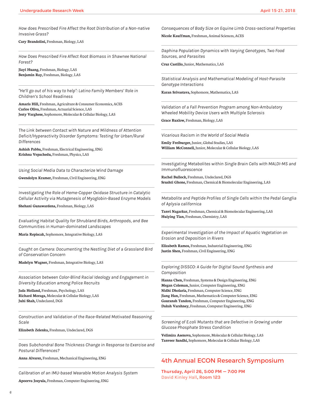*How does Prescribed Fire Affect the Root Distribution of a Non-native Invasive Grass?*

**Cary Brandolini,** Freshman, Biology, LAS

*How Does Prescribed Fire Affect Root Biomass in Shawnee National Forest?*

**Jiayi Huang,** Freshman, Biology, LAS **Benjamin Ray,** Freshman, Biology, LAS

*"He'll go out of his way to help": Latino Family Members' Role in Children's School Readiness*

**Amaris Hill,** Freshman, Agriculture & Consumer Economics, ACES **Carlos Oliva,** Freshman, Actuarial Science, LAS **Jesty Varghese,** Sophomore, Molecular & Cellular Biology, LAS

*The Link between Contact with Nature and Mildness of Attention Deficit/Hyperactivity Disorder Symptoms: Testing for Urban/Rural Differences* 

**Ashish Pabba,** Freshman, Electrical Engineering, ENG **Krishna Vepachedu,** Freshman, Physics, LAS

*Using Social Media Data to Characterize Wind Damage*

**Gwendolyn Kramer,** Freshman, Civil Engineering, ENG

*Investigating the Role of Heme-Copper Oxidase Structure in Catalytic Cellular Activity via Mutagenesis of Myoglobin-Based Enzyme Models*

**Shehani Gunawardena,** Freshman, Biology, LAS

*Evaluating Habitat Quality for Shrubland Birds, Arthropods, and Bee Communities in Human-dominated Landscapes*

**Maria Repiscak,** Sophomore, Integrative Biology, LAS

*Caught on Camera: Documenting the Nestling Diet of a Grassland Bird of Conservation Concern*

**Madelyn Wagner,** Freshman, Integrative Biology, LAS

*Association between Color-Blind Racial Ideology and Engagement in Diversity Education among Police Recruits*

**Jada Holland,** Freshman, Psychology, LAS **Richard Moraga,** Molecular & Cellular Biology, LAS **Juhi Shah,** Undeclared, DGS

*Construction and Validation of the Race-Related Motivated Reasoning Scale*

**Elizabeth Zelenka,** Freshman, Undeclared, DGS

*Does Subchondral Bone Thickness Change in Response to Exercise and Postural Differences?*

**Anna Alvarez,** Freshman, Mechanical Engineering, ENG

*Calibration of an IMU-based Wearable Motion Analysis System*

**Apoorva Josyula,** Freshman, Computer Engineering, ENG

*Consequences of Body Size on Equine Limb Cross-sectional Properties*

**Nicole Kauffman,** Freshman, Animal Sciences, ACES

*Daphina Population Dynamics with Varying Genotypes, Two Food Sources, and Parasites* 

**Cruz Castillo,** Junior, Mathematics, LAS

*Statistical Analysis and Mathematical Modeling of Host-Parasite Genotype Interactions*

**Karan Srivastava,** Sophomore, Mathematics, LAS

*Validation of a Fall Prevention Program among Non-Ambulatory Wheeled Mobility Device Users with Multiple Sclerosis*

**Grace Ruxlow,** Freshman, Biology, LAS

*Vicarious Racism in the World of Social Media*

**Emily Freiburger,** Junior, Global Studies, LAS **William McConnell,** Junior, Molecular & Cellular Biology, LAS

*Investigating Metabolites within Single Brain Cells with MALDI-MS and Immunofluorescence*

**Rachel Bullock,** Freshman, Undeclared, DGS **Srushti Ghone,** Freshman, Chemical & Biomolecular Engineering, LAS

*Metabolite and Peptide Profiles of Single Cells within the Pedal Ganglia of Aplysia californica*

**Tanvi Nagarkar,** Freshman, Chemical & Biomolecular Engineering, LAS **Huiying Tian,** Freshman, Chemistry, LAS

*Experimental Investigation of the Impact of Aquatic Vegetation on Erosion and Deposition in Rivers*

**Elizabeth Ramos,** Freshman, Industrial Engineering, ENG **Justin Shen,** Freshman, Civil Engineering, ENG

*Exploring DISSCO: A Guide for Digital Sound Synthesis and Composition*

**Hanna Chen,** Freshman, Systems & Design Engineering, ENG **Megan Coleman,** Junior, Computer Engineering, ENG **Nidhi Dholaria,** Freshman, Computer Science, ENG **Jiang Han,** Freshman, Mathematics & Computer Science, ENG **Gauransh Tandon,** Freshman, Computer Engineering, ENG **Daksh Varshney,** Freshman, Computer Engineering, ENG

*Screening of E.coli Mutants that are Defective in Growing under Glucose Phosphate Stress Condition*

**Velimira Asenova,** Sophomore, Molecular & Cellular Biology, LAS **Tanveer Sandhi,** Sophomore, Molecular & Cellular Biology, LAS

# 4th Annual ECON Research Symposium

**Thursday, April 26, 5:00 PM — 7:00 PM** David Kinley Hall**, Room 123**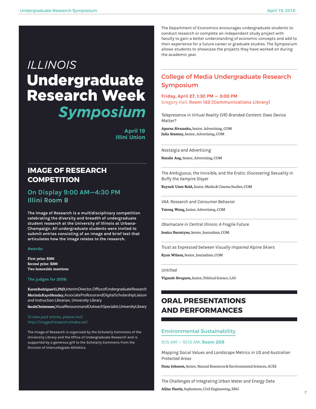# **ILLINOIS Undergraduate Research Week Symposium**

**April 19 Illini Union**

# **IMAGE OF RESEARCH COMPETITION**

# **On Display 9:00 AM—4:30 PM Illini Room B**

**The Image of Research is a multidisciplinary competition celebrating the diversity and breadth of undergraduate student research at the University of Illinois at Urbana-Champaign. All undergraduate students were invited to submit entries consisting of an image and brief text that articulates how the image relates to the research.** 

#### **Awards:**

**First prize: \$300 Second prize: \$200 Two honorable mentions**

#### **The judges for 2018:**

**Karen Rodriguez'G, PhD,** Interim Director , Office of Undergraduate Research **Merinda Kaye Hensley,** Associate Professor and Digital Scholarship Liaison and Instruction Librarian, University Library

**Sarah Christensen,** Visual Resources and Outreach Specialist, University Library

*http://imageofresearch.omeka.net/*

The Image of Research is organized by the Scholarly Commons of the University Library and the Office of Undergraduate Research and is supported by a generous gift to the Scholarly Commons from the Division of Intercollegiate Athletics.

The Department of Economics encourages undergraduate students to conduct research or complete an independent study project with faculty to gain a better understanding of economic concepts and add to their experience for a future career or graduate studies. The Symposium allows students to showcase the projects they have worked on during the academic year.

# College of Media Undergraduate Research Symposium

**Friday, April 27, 1:30 PM — 3:00 PM** Gregory Hall, **Room 122 (Communications Library)**

*Telepresence in Virtual Reality (VR) Branded Content: Does Device Matter?*

**Aparna Sivasanka,** Senior, Advertising, COM **Julia Szumny,** Senior, Advertising, COM

*Nostalgia and Advertising*

**Natalie Ang,** Senior, Advertising, COM

*The Ambiguous, the Invisible, and the Erotic: Discovering Sexuality in Buffy the Vampire Slayer*

**Raynah Unes-Reid,** Junior, Media & Cinema Studies, COM

*VAA: Research and Consumer Behavior*

**Yutong Wang,** Junior, Advertising, COM

*Obamacare in Central Illinois: A Fragile Future*

**Jessica Bursztyns,** Senior, Journalism, COM

*Trust as Expressed between Visually Impaired Alpine Skiers*

**Ryan Wilson,** Senior, Journalism, COM

#### *Untitled*

**Vignesh Sivaguru,** Junior, Political Science, LAS

# **ORAL PRESENTATIONS AND PERFORMANCES**

# Environmental Sustainability

#### 9:15 AM — 10:15 AM, **Room 209**

*Mapping Social Values and Landscape Metrics in US and Australian Protected Areas*

**Dana Johnson,** Senior, Natural Resources & Environmental Sciences, ACES

*The Challenges of Integrating Urban Water and Energy Data* **Allisa Hastie,** Sophomore, Civil Engineering, ENG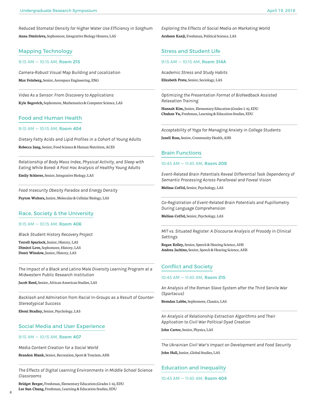*Reduced Stomatal Density for Higher Water Use Efficiency in Sorghum* **Anna Dmitrieva,** Sophomore, Integrative Biology Honors, LAS

# Mapping Technology

#### 9:15 AM — 10:15 AM, **Room 215**

*Camera-Robust Visual Map Building and Localization* **Max Feinberg,** Senior, Aerospace Engineering, ENG

*Video As a Sensor: From Discovery to Applications* **Kyle Begovich,** Sophomore, Mathematics & Computer Science, LAS

# Food and Human Health

#### 9:15 AM — 10:15 AM, **Room 404**

*Dietary Fatty Acids and Lipid Profiles in a Cohort of Young Adults* **Rebecca Jung,** Senior, Food Science & Human Nutrition, ACES

*Relationship of Body Mass Index, Physical Activity, and Sleep with Eating While Bored: A Post Hoc Analysis of Healthy Young Adults* **Emily Schierer,** Senior, Integrative Biology, LAS

*Food Insecurity Obesity Paradox and Energy Density* **Payton Walters,** Junior, Molecular & Cellular Biology, LAS

# Race, Society & the University

#### 9:15 AM — 10:15 AM, **Room 406**

*Black Student History Recovery Project*

**Terrell Spurlock,** Junior, History, LAS **Dimitri Love,** Sophomore, History, LAS **Dontï Winslow,** Junior, History, LAS

*The Impact of a Black and Latino Male Diversity Learning Program at a Midwestern Public Research Institution*

**Jacob Reed,** Senior, African American Studies, LAS

*Backlash and Admiration from Racial In-Groups as a Result of Counter-Stereotypical Success*

**Eboni Bradley,** Senior, Psychology, LAS

# Social Media and User Experience

#### 9:15 AM — 10:15 AM, **Room 407**

*Media Content Creation for a Social World*

**Brandon Blunk,** Senior, Recreation, Sport & Tourism, AHS

*The Effects of Digital Learning Environments in Middle School Science Classrooms*

**Bridget Berger,** Freshman, Elementary Education (Grades 1-6), EDU **Lee Sun Chung,** Freshman, Learning & Education Studies, EDU

*Exploring the Effects of Social Media on Marketing World*

**Arsheen Kanji,** Freshman, Political Science, LAS

# Stress and Student Life

9:15 AM — 10:15 AM, **Room 314A**

*Academic Stress and Study Habits*

**Elizabeth Prete,** Senior, Sociology, LAS

*Optimizing the Presentation Format of Biofeedback Assisted Relaxation Training*

**Hannah Kim,** Junior, Elementary Education (Grades 1-6), EDU **Chuhan Yu,** Freshman, Learning & Education Studies, EDU

*Acceptability of Yoga for Managing Anxiety in College Students*

**Janell Ross,** Senior, Community Health, AHS

# Brain Functions

#### 10:45 AM — 11:45 AM, **Room 209**

*Event-Related Brain Potentials Reveal Differential Task Dependency of Semantic Processing Across Parafoveal and Foveal Vision*

**Melissa Coffel,** Senior, Psychology, LAS

*Co-Registration of Event-Related Brain Potentials and Pupillometry During Language Comprehension*

**Melissa Coffel,** Senior, Psychology, LAS

*MIT vs. Situated Register: A Discourse Analysis of Prosody in Clinical Settings*

**Regan Kelley,** Senior, Speech & Hearing Science, AHS **Andrea Jachino,** Senior, Speech & Hearing Science, AHS

# Conflict and Society

#### 10:45 AM — 11:45 AM, **Room 215**

*An Analysis of the Roman Slave System after the Third Servile War (Spartacus)*

**Brendan Labbe,** Sophomore, Classics, LAS

*An Analysis of Relationship Extraction Algorithms and Their Application to Civil War Political Dyad Creation*

**John Carter,** Senior, Physics, LAS

*The Ukrainian Civil War's Impact on Development and Food Security*

**John Hall,** Junior, Global Studies, LAS

# Education and Inequality

10:45 AM — 11:45 AM, **Room 404**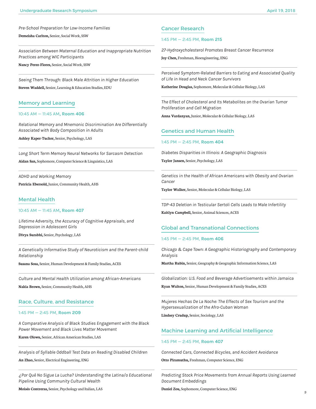*Pre-School Preparation for Low-Income Families*

**Demeisha Carlton,** Senior, Social Work, SSW

*Association Between Maternal Education and Inappropriate Nutrition Practices among WIC Participants*

**Nancy Perez-Flores,** Senior, Social Work, SSW

*Seeing Them Through: Black Male Attrition in Higher Education* **Steven Waddell,** Senior, Learning & Education Studies, EDU

#### Memory and Learning

#### 10:45 AM — 11:45 AM**, Room 406**

*Relational Memory and Mnemonic Discrimination Are Differentially Associated with Body Composition in Adults*

**Ashley Kaper-Tucker,** Senior, Psychology, LAS

*Long Short Term Memory Neural Networks for Sarcasm Detection* **Aidan San,** Sophomore, Computer Science & Linguistics, LAS

*ADHD and Working Memory*

**Patricia Ebersold,** Junior, Community Health, AHS

## Mental Health

#### 10:45 AM — 11:45 AM**, Room 407**

*Lifetime Adversity, the Accuracy of Cognitive Appraisals, and Depression in Adolescent Girls*

**Divya Surabhi,** Senior, Psychology, LAS

*A Genetically Informative Study of Neuroticism and the Parent-child Relationship*

**Susana Sosa,** Senior, Human Development & Family Studies, ACES

*Culture and Mental Health Utilization among African-Americans*

**Nakia Brown,** Senior, Community Health, AHS

#### Race, Culture, and Resistance

#### 1:45 PM — 2:45 PM, **Room 209**

*A Comparative Analysis of Black Studies Engagement with the Black Power Movement and Black Lives Matter Movement*

**Karen Olowu,** Senior, African American Studies, LAS

*Analysis of Syllable Oddball Test Data on Reading Disabled Children*

**An Zhao,** Senior, Electrical Engineering, ENG

*¿Por Qué No Sigue La Lucha? Understanding the Latina/o Educational Pipeline Using Community Cultural Wealth*

**Moisés Contreras,** Senior, Psychology and Italian, LAS

## Cancer Research

#### 1:45 PM — 2:45 PM, **Room 215**

*27-Hydroxycholesterol Promotes Breast Cancer Recurrence* **Joy Chen,** Freshman, Bioengineering, ENG

*Perceived Symptom-Related Barriers to Eating and Associated Quality of Life in Head and Neck Cancer Survivors*

**Katherine Douglas,** Sophomore, Molecular & Cellular Biology, LAS

*The Effect of Cholesterol and Its Metabolites on the Ovarian Tumor Proliferation and Cell Migration*

**Anna Vardanyan,** Junior, Molecular & Cellular Biology, LAS

## Genetics and Human Health

#### 1:45 PM — 2:45 PM, **Room 404**

*Diabetes Disparities in Illinois: A Geographic Diagnosis*

**Taylor Jansen,** Senior, Psychology, LAS

*Genetics in the Health of African Americans with Obesity and Ovarian Cancer*

**Taylor Walker,** Senior, Molecular & Cellular Biology, LAS

*TDP-43 Deletion in Testicular Sertoli Cells Leads to Male Infertility*

**Kaitlyn Campbell,** Senior, Animal Sciences, ACES

# Global and Transnational Connections

## 1:45 PM — 2:45 PM, **Room 406**

*Chicago & Cape Town: A Geographic Historiography and Contemporary Analysis*

**Martha Rubin,** Senior, Geography & Geographic Information Science, LAS

*Globalization: U.S. Food and Beverage Advertisements within Jamaica*

**Ryan Walton,** Senior, Human Development & Family Studies, ACES

*Mujeres Hechas De La Noche: The Effects of Sex Tourism and the Hypersexualization of the Afro-Cuban Woman*

**Lindsey Crudup,** Senior, Sociology, LAS

# Machine Learning and Artificial Intelligence

#### 1:45 PM — 2:45 PM, **Room 407**

*Connected Cars, Connected Bicycles, and Accident Avoidance*

**Otto Piramuthu,** Freshman, Computer Science, ENG

*Predicting Stock Price Movements from Annual Reports Using Learned Document Embeddings*

**Daniel Zou,** Sophomore, Computer Science, ENG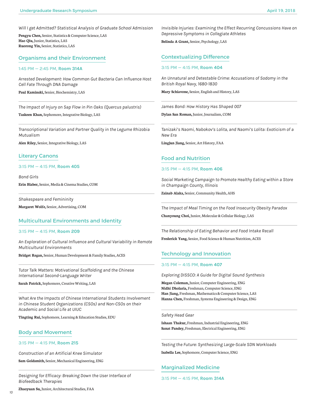*Will I get Admitted? Statistical Analysis of Graduate School Admission*

**Pengyu Chen,** Senior, Statistics & Computer Science, LAS **Hao Qiu,** Junior, Statistics, LAS **Ruorong Yin,** Senior, Statistics, LAS

## Organisms and their Environment

#### 1:45 PM — 2:45 PM, **Room 314A**

*Arrested Development: How Common Gut Bacteria Can Influence Host Cell Fate Through DNA Damage*

**Paul Kaminski,** Senior, Biochemistry, LAS

*The Impact of Injury on Sap Flow in Pin Oaks (Quercus palustris)*

**Taskeen Khan,** Sophomore, Integrative Biology, LAS

*Transcriptional Variation and Partner Quality in the Legume Rhizobia Mutualism*

**Alex Riley,** Senior, Integrative Biology, LAS

# Literary Canons

#### 3:15 PM — 4:15 PM, **Room 405**

*Bond Girls*  **Erin Blaber,** Senior, Media & Cinema Studies, COM

*Shakespeare and Femininity* 

**Margaret Wolfe,** Senior, Advertising, COM

#### Multicultural Environments and Identity

#### 3:15 PM — 4:15 PM, **Room 209**

*An Exploration of Cultural Influence and Cultural Variability in Remote Multicultural Environments*

**Bridget Regan,** Senior, Human Development & Family Studies, ACES

*Tutor Talk Matters: Motivational Scaffolding and the Chinese International Second-Language Writer*

**Sarah Patrick,** Sophomore, Creative Writing, LAS

*What Are the Impacts of Chinese International Students Involvement in Chinese Student Organizations (CSOs) and Non-CSOs on their Academic and Social Life at UIUC*

**Tingting Rui,** Sophomore, Learning & Education Studies, EDU

## Body and Movement

#### 3:15 PM — 4:15 PM, **Room 215**

*Construction of an Artificial Knee Simulator*

**Sam Goldsmith,** Senior, Mechanical Engineering, ENG

*Designing for Efficacy: Breaking Down the User Interface of Biofeedback Therapies*

**Zhaoyuan Su,** Junior, Architectural Studies, FAA

*Invisible Injuries: Examining the Effect Recurring Concussions Have on Depressive Symptoms in Collegiate Athletes*

**Belinda A Grant,** Senior, Psychology, LAS

# Contextualizing Difference

#### 3:15 PM — 4:15 PM, **Room 404**

*An Unnatural and Detestable Crime: Accusations of Sodomy in the British Royal Navy, 1680-1830*

**Mary Schiavone,** Senior, English and History, LAS

*James Bond: How History Has Shaped 007*

**Dylan San Roman,** Junior, Journalism, COM

*Tanizaki's Naomi, Nabokov's Lolita, and Naomi's Lolita: Exoticism of a New Era*

**Lingjun Jiang,** Senior, Art History, FAA

#### Food and Nutrition

#### 3:15 PM — 4:15 PM, **Room 406**

*Social Marketing Campaign to Promote Healthy Eating within a Store in Champaign County, Illinois*

**Zainab Alaka,** Senior, Community Health, AHS

*The Impact of Meal Timing on the Food Insecurity Obesity Paradox* 

**Chanyoung Choi,** Junior, Molecular & Cellular Biology, LAS

*The Relationship of Eating Behavior and Food Intake Recall* **Frederick Yang,** Senior, Food Science & Human Nutrition, ACES

#### Technology and Innovation

#### 3:15 PM — 4:15 PM, **Room 407**

*Exploring DISSCO: A Guide for Digital Sound Synthesis*

**Megan Coleman,** Junior, Computer Engineering, ENG **Nidhi Dholaria,** Freshman, Computer Science, ENG **Han Jiang,** Freshman, Mathematics & Computer Science, LAS **Hanna Chen,** Freshman, Systems Engineering & Design, ENG

#### *Safety Head Gear*

**Ishaan Thakur,** Freshman, Industrial Engineering, ENG **Sanat Pandey,** Freshman, Electrical Engineering, ENG

*Testing the Future: Synthesizing Large-Scale SDN Workloads*

**Isabella Lee,** Sophomore, Computer Science, ENG

# Marginalized Medicine

3:15 PM — 4:15 PM, **Room 314A**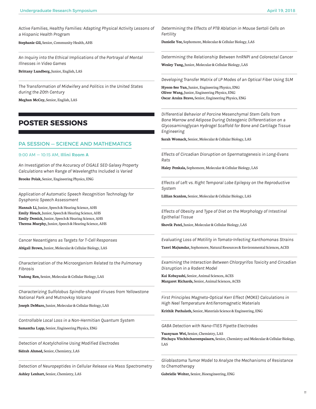*Active Families, Healthy Families: Adapting Physical Activity Lessons of a Hispanic Health Program*

**Stephanie Gil,** Senior, Community Health, AHS

*An Inquiry into the Ethical Implications of the Portrayal of Mental Illnesses in Video Games*

**Brittany Lundberg,** Junior, English, LAS

*The Transformation of Midwifery and Politics in the United States during the 20th Century*

**Meghan McCoy,** Senior, English, LAS

# **POSTER SESSIONS**

# PA SESSION — SCIENCE AND MATHEMATICS

#### 9:00 AM — 10:15 AM, **Illini Room A**

*An Investigation of the Accuracy of CIGALE SED Galaxy Property Calculations when Range of Wavelengths Included is Varied*

**Brooke Polak,** Senior, Engineering Physics, ENG

*Application of Automatic Speech Recognition Technology for Dysphonic Speech Assessment*

**Hannah Li,** Junior, Speech & Hearing Science, AHS **Emily Heuck,** Junior, Speech & Hearing Science, AHS **Emily Demick,** Junior, Speech & Hearing Science, AHS **Theresa Murphy,** Junior, Speech & Hearing Science, AHS

*Cancer Neoantigens as Targets for T-Cell Responses*

**Abigail Brown,** Junior, Molecular & Cellular Biology, LAS

*Characterization of the Microorganism Related to the Pulmonary Fibrosis*

**Yudong Ren,** Senior, Molecular & Cellular Biology, LAS

*Characterizing Sulfolobus Spindle-shaped Viruses from Yellowstone National Park and Mutnovksy Volcano*

**Joseph DeMuro,** Junior, Molecular & Cellular Biology, LAS

*Controllable Local Loss in a Non-Hermitian Quantum System*

**Samantha Lapp,** Senior, Engineering Physics, ENG

*Detection of Acetylcholine Using Modified Electrodes*

**Sidrah Ahmed,** Senior, Chemistry, LAS

*Detection of Neuropeptides in Cellular Release via Mass Spectrometry* **Ashley Lenhart,** Senior, Chemistry, LAS

*Determining the Effects of PTB Ablation in Mouse Sertoli Cells on Fertility*

**Danielle Yee,** Sophomore, Molecular & Cellular Biology, LAS

*Determining the Relationship Between hnRNPI and Colorectal Cancer* **Wesley Tung,** Junior, Molecular & Cellular Biology, LAS

*Developing Transfer Matrix of LP Modes of an Optical Fiber Using SLM*

**Hyeon-Seo Yun,** Junior, Engineering Physics, ENG **Oliver Wang,** Junior, Engineering Physics, ENG **Oscar Araiza Bravo,** Senior, Engineering Physics, ENG

*Differential Behavior of Porcine Mesenchymal Stem Cells from Bone Marrow and Adipose During Osteogenic Differentiation on a Glycosaminoglycan Hydrogel Scaffold for Bone and Cartilage Tissue Engineering*

**Sarah Womack,** Senior, Molecular & Cellular Biology, LAS

*Effects of Circadian Disruption on Spermatogenesis in Long-Evans Rats*

**Haley Penkala,** Sophomore, Molecular & Cellular Biology, LAS

*Effects of Left vs. Right Temporal Lobe Epilepsy on the Reproductive System*

**Lillian Scanlon,** Senior, Molecular & Cellular Biology, LAS

*Effects of Obesity and Type of Diet on the Morphology of Intestinal Epithelial Tissue*

**Shovik Patel,** Junior, Molecular & Cellular Biology, LAS

*Evaluating Loss of Motility in Tomato-Infecting Xanthomonas Strains*

**Tanvi Majumdar,** Sophomore, Natural Resources & Environmental Sciences, ACES

*Examining the Interaction Between Chlorpyrifos Toxicity and Circadian Disruption in a Rodent Model*

**Kai Kobayashi,** Senior, Animal Sciences, ACES **Margaret Richards,** Senior, Animal Sciences, ACES

*First Principles Magneto-Optical Kerr Effect (MOKE) Calculations in High Neel Temperature Antiferromagnetic Materials*

**Krithik Puthalath,** Senior, Materials Science & Engineering, ENG

*GABA Detection with Nano-ITIES Pipette Electrodes*

**Yuanyuan Wei,** Senior, Chemistry, LAS **Pitchaya Vitchitcharoenpaisarn,** Senior, Chemistry and Molecular & Cellular Biology, LAS

*Glioblastoma Tumor Model to Analyze the Mechanisms of Resistance to Chemotherapy*

**Gabrielle Wolter,** Senior, Bioengineering, ENG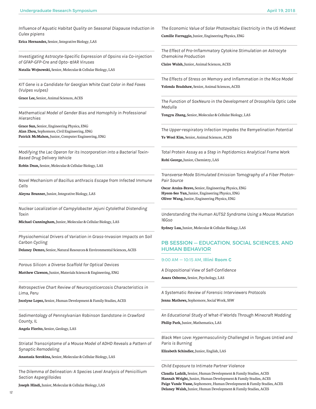**Influence of Aquatic Habitat Quality on Seasonal Diapause Induction in** *Culex pipiens*

**Erica Hernandez,** Senior, Integrative Biology, LAS

*Investigating Astrocyte-Specific Expression of Opsins via Co-injection of GFAP-GFP-Cre and Opto-* α*1AR Viruses*

**Natalia Wojnowski,** Senior, Molecular & Cellular Biology, LAS

*KIT Gene is a Candidate for Georgian White Coat Color in Red Foxes (Vulpes vulpes)*

**Grace Lee,** Senior, Animal Sciences, ACES

*Mathematical Model of Gender Bias and Homophily in Professional Hierarchies*

**Grace Sun,** Senior, Engineering Physics, ENG **Alan Zhou,** Sophomore, Civil Engineering, ENG **Patrick McMahon,** Junior, Computer Engineering, ENG

*Modifying the Lac Operon for its Incorporation into a Bacterial Toxin-Based Drug Delivery Vehicle*

**Robin Dean,** Senior, Molecular & Cellular Biology, LAS

*Novel Mechanism of Bacillus anthracis Escape from Infected Immune Cells*

**Aleyna Brunner,** Junior, Integrative Biology, LAS

*Nuclear Localization of Campylobacter Jejuni Cytolethal Distending Toxin*

**Michael Cunningham,** Junior, Molecular & Cellular Biology, LAS

*Physiochemical Drivers of Variation in Grass-Invasion Impacts on Soil Carbon Cycling*

**Delaney Demro,** Senior, Natural Resources & Environmental Sciences, ACES

*Porous Silicon: a Diverse Scaffold for Optical Devices*

**Matthew Clawson,** Junior, Materials Science & Engineering, ENG

*Retrospective Chart Review of Neurocysticercosis Characteristics in Lima, Peru*

**Jocelyne Lopez,** Senior, Human Development & Family Studies, ACES

*Sedimentology of Pennsylvanian Robinson Sandstone in Crawford County, IL*

**Angela Fiorito,** Senior, Geology, LAS

*Striatal Transcriptome of a Mouse Model of ADHD Reveals a Pattern of Synaptic Remodeling*

**Anastasia Sorokina,** Senior, Molecular & Cellular Biology, LAS

*The Dilemma of Delineation: A Species Level Analysis of Penicillium Section Aspergilloides*

**Joseph Hindi,** Junior, Molecular & Cellular Biology, LAS

*The Economic Value of Solar Photovoltaic Electricity in the US Midwest*

**Camille Farruggio,** Junior, Engineering Physics, ENG

*The Effect of Pro-Inflammatory Cytokine Stimulation on Astrocyte Chemokine Production*

**Claire Walsh,** Junior, Animal Sciences, ACES

*The Effects of Stress on Memory and Inflammation in the Mice Model*

**Yolonda Bradshaw,** Senior, Animal Sciences, ACES

*The Function of SoxNeuro in the Development of Drosophila Optic Lobe Medulla*

**Tongyu Zhang,** Senior, Molecular & Cellular Biology, LAS

*The Upper-respiratory Infection Impedes the Remyelination Potential*

**Ye Wool Kim,** Senior, Animal Sciences, ACES

*Total Protein Assay as a Step in Peptidomics Analytical Frame Work* **Rohi George,** Junior, Chemistry, LAS

*Transverse-Mode Stimulated Emission Tomography of a Fiber Photon-Pair Source*

**Oscar Araiza-Bravo,** Senior, Engineering Physics, ENG **Hyeon-Seo Yun,** Junior, Engineering Physics, ENG **Oliver Wang,** Junior, Engineering Physics, ENG

*Understanding the Human AUTS2 Syndrome Using a Mouse Mutation 16Gso*

**Sydney Luu,** Junior, Molecular & Cellular Biology, LAS

# PB SESSION — EDUCATION, SOCIAL SCIENCES, AND HUMAN BEHAVIOR

#### 9:00 AM — 10:15 AM, **Illini Room C**

*A Dispositional View of Self-Confidence* **Asura Osborne,** Senior, Psychology, LAS

*A Systematic Review of Forensic Interviewers Protocols*

**Jenna Mathews,** Sophomore, Social Work, SSW

*An Educational Study of What-If Worlds Through Minecraft Modding* **Philip Park,** Junior, Mathematics, LAS

*Black Men Love: Hypermasculinity Challenged in Tongues Untied and Paris is Burning*

**Elizabeth Schindler,** Junior, English, LAS

*Child Exposure to Intimate Partner Violence*

**Claudia Ladzik,** Senior, Human Development & Family Studies, ACES **Hannah Wright,** Junior, Human Development & Family Studies, ACES **Paige Vande Vusse,** Sophomore, Human Development & Family Studies, ACES **Delaney Walsh,** Junior, Human Development & Family Studies, ACES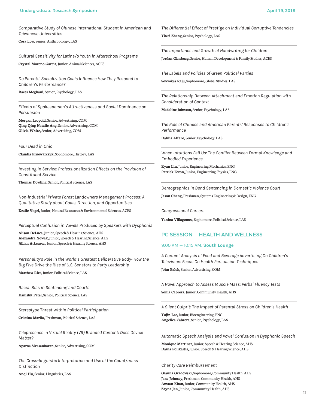*Comparative Study of Chinese International Student in American and Taiwanese Universities*

**Cora Low,** Senior, Anthropology, LAS

*Cultural Sensitivity for Latina/o Youth in Afterschool Programs*

**Crystal Moreno-Garcia,** Junior, Animal Sciences, ACES

*Do Parents' Socialization Goals Influence How They Respond to Children's Performance?*

**Raees Meghani,** Senior, Psychology, LAS

*Effects of Spokesperson's Attractiveness and Social Dominance on Persuasion*

**Morgan Leopold,** Senior, Advertising, COM **Qing Qing Natalie Ang,** Senior, Advertising, COM **Olivia White,** Senior, Advertising, COM

*Four Dead in Ohio*

**Claudia Piwowarczyk,** Sophomore, History, LAS

*Investing in Service: Professionalization Effects on the Provision of Constituent Service*

**Thomas Dowling,** Senior, Political Science, LAS

*Non-industrial Private Forest Landowners Management Process: A Qualitative Study about Goals, Direction, and Opportunities*

**Kealie Vogel,** Junior, Natural Resources & Environmental Sciences, ACES

*Perceptual Confusion in Vowels Produced by Speakers with Dysphonia*

**Alison DeLuca,** Junior, Speech & Hearing Science, AHS **Alexandra Nowak,** Junior, Speech & Hearing Science, AHS **Jillian Atkenson,** Junior, Speech & Hearing Science, AHS

*Personality's Role in the World's Greatest Deliberative Body- How the Big Five Drive the Rise of U.S. Senators to Party Leadership*

**Matthew Rice,** Junior, Political Science, LAS

*Racial Bias in Sentencing and Courts* 

**Kanishk Patel,** Senior, Political Science, LAS

*Stereotype Threat Within Political Participation*

**Cristina Marila,** Freshman, Political Science, LAS

*Telepresence in Virtual Reality (VR) Branded Content: Does Device Matter?*

**Aparna Sivasankaran,** Senior, Advertising, COM

*The Cross-linguistic Interpretation and Use of the Count/mass Distinction*

**Anqi Hu,** Senior, Linguistics, LAS

*The Differential Effect of Prestige on Individual Corruptive Tendencies* **Yiwei Zhang,** Senior, Psychology, LAS

*The Importance and Growth of Handwriting for Children* **Jordan Ginsburg,** Senior, Human Development & Family Studies, ACES

*The Labels and Policies of Green Political Parties*

**Sowmiya Raju,** Sophomore, Global Studies, LAS

*The Relationship Between Attachment and Emotion Regulation with Consideration of Context*

**Madeline Johnson,** Senior, Psychology, LAS

*The Role of Chinese and American Parents' Responses to Children's Performance*

**Dahlia Alfaro,** Senior, Psychology, LAS

*When Intuitions Fail Us: The Conflict Between Formal Knowledge and Embodied Experience*

**Ryan Lin,** Junior, Engineering Mechanics, ENG **Patrick Kwon,** Junior, Engineering Physics, ENG

*Demographics in Bond Sentencing in Domestic Violence Court*

**Jason Chang,** Freshman, Systems Engineering & Design, ENG

*Congressional Careers*

**Yanina Villagomez,** Sophomore, Political Science, LAS

# PC SESSION — HEALTH AND WELLNESS

#### 9:00 AM — 10:15 AM, **South Lounge**

*A Content Analysis of Food and Beverage Advertising On Children's Television: Focus On Health Persuasion Techniques*

**John Balch,** Senior, Advertising, COM

*A Novel Approach to Assess Muscle Mass: Verbal Fluency Tests*

**Sonia Cabrera,** Junior, Community Health, AHS

*A Silent Culprit: The Impact of Parental Stress on Children's Health*

**Yujin Lee,** Junior, Bioengineering, ENG **Angelica Cabrera,** Senior, Psychology, LAS

*Automatic Speech Analysis and Vowel Confusion in Dysphonic Speech*

**Monique Martinez,** Junior, Speech & Hearing Science, AHS **Daina Polikaitis,** Junior, Speech & Hearing Science, AHS

#### *Charity Care Reimbursement*

**Gianna Gradowski,** Sophomore, Community Health, AHS **Jane Johnsey,** Freshman, Community Health, AHS **Amaan Khan,** Junior, Community Health, AHS **Zayna Jan,** Junior, Community Health, AHS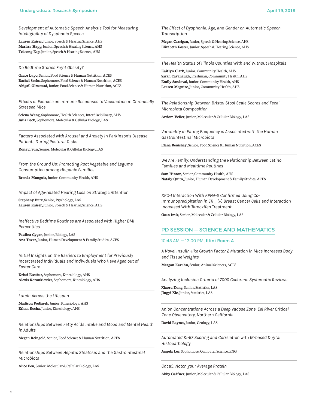*Development of Automatic Speech Analysis Tool for Measuring Intelligibility of Dysphonic Speech*

**Lauren Kaiser,** Junior, Speech & Hearing Science, AHS **Marissa Happ,** Junior, Speech & Hearing Science, AHS **Teksong Eap,** Junior, Speech & Hearing Science, AHS

*Do Bedtime Stories Fight Obesity?*

**Grace Lupo,** Senior, Food Science & Human Nutrition, ACES **Rachel Sachs,** Sophomore, Food Science & Human Nutrition, ACES **Abigail Olmstead,** Junior, Food Science & Human Nutrition, ACES

*Effects of Exercise on Immune Responses to Vaccination in Chronically Stressed Mice*

**Selena Wang,** Sophomore, Health Sciences, Interdisciplinary, AHS **Julia Beck,** Sophomore, Molecular & Cellular Biology, LAS

*Factors Associated with Arousal and Anxiety in Parkinson's Disease Patients During Postural Tasks*

**Rongyi Sun,** Senior, Molecular & Cellular Biology, LAS

*From the Ground Up: Promoting Root Vegetable and Legume Consumption among Hispanic Families*

**Brenda Munguia,** Junior, Community Health, AHS

*Impact of Age-related Hearing Loss on Strategic Attention*

**Stephany Burz,** Senior, Psychology, LAS **Lauren Kaiser,** Junior, Speech & Hearing Science, AHS

*Ineffective Bedtime Routines are Associated with Higher BMI Percentiles*

**Paulina Cygan,** Junior, Biology, LAS **Ana Tovar,** Junior, Human Development & Family Studies, ACES

*Initial Insights on the Barriers to Employment for Previously Incarcerated Individuals and Individuals Who Have Aged out of Foster Care*

**Kristi Escobar,** Sophomore, Kinesiology, AHS **Alexis Koronkiewicz,** Sophomore, Kinesiology, AHS

*Lutein Across the Lifespan*

**Madison Podjasek,** Junior, Kinesiology, AHS **Ethan Rocha,** Junior, Kinesiology, AHS

*Relationships Between Fatty Acids Intake and Mood and Mental Health in Adults*

**Megan Reingold,** Senior, Food Science & Human Nutrition, ACES

*Relationships Between Hepatic Steatosis and the Gastrointestinal Microbiota*

**Alice Pen,** Senior, Molecular & Cellular Biology, LAS

*The Effect of Dysphonia, Age, and Gender on Automatic Speech Transcription*

**Megan Carrigan,** Junior, Speech & Hearing Science, AHS **Elizabeth Foster,** Junior, Speech & Hearing Science, AHS

*The Health Status of Illinois Counties With and Without Hospitals*

**Kaitlyn Clark,** Junior, Community Health, AHS **Sarah Cavanaugh,** Freshman, Community Health, AHS **Emily Sandoval,** Junior, Community Health, AHS **Lauren Mcguire,** Junior, Community Health, AHS

*The Relationship Between Bristol Stool Scale Scores and Fecal Microbiota Composition*

**Artiom Veller,** Junior, Molecular & Cellular Biology, LAS

*Variability in Eating Frequency is Associated with the Human Gastrointestinal Microbiota*

**Elana Benishay,** Senior, Food Science & Human Nutrition, ACES

*We Are Family: Understanding the Relationship Between Latino Families and Mealtime Routines*

**Sam Hinton,** Senior, Community Health, AHS **Nataly Quito,** Junior, Human Development & Family Studies, ACES

*XPO-1 Interaction With KPNA-2 Confirmed Using Co-Immunoprecipitation in ER\_ (+) Breast Cancer Cells and Interaction Increased With Tamoxifen Treatment*

**Ozan Imir,** Senior, Molecular & Cellular Biology, LAS

# PD SESSION — SCIENCE AND MATHEMATICS

#### 10:45 AM — 12:00 PM, **Illini Room A**

*A Novel Insulin-like Growth Factor 2 Mutation in Mice Increases Body and Tissue Weights*

**Meagan Karuhn,** Senior, Animal Sciences, ACES

*Analyzing Inclusion Criteria of 7000 Cochrane Systematic Reviews*

**Xiaoru Dong,** Senior, Statistics, LAS **Jingyi Xie,** Junior, Statistics, LAS

*Anion Concentrations Across a Deep Vadose Zone, Eel River Critical Zone Observatory, Northern California*

**David Raynes,** Junior, Geology, LAS

*Automated Ki-67 Scoring and Correlation with IR-based Digital Histopathology*

**Angela Lee,** Sophomore, Computer Science, ENG

*Cdca5: Notch your Average Protein*

**Abby Gaffner,** Junior, Molecular & Cellular Biology, LAS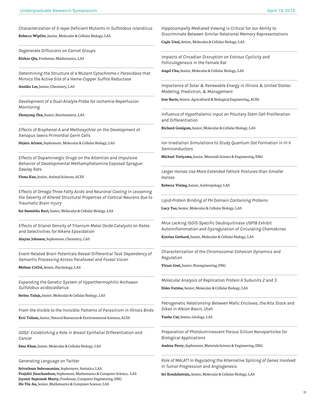*Characterization of S-layer Deficient Mutants in Sulfolobus islandicus* **Rebecca Wipfler,** Junior, Molecular & Cellular Biology, LAS

*Degenerate Diffusions on Carnot Groups* **Rizhao Qiu,** Freshman, Mathematics, LAS

*Determining the Structure of a Mutant Cytochrome c Peroxidase that Mimics the Active Site of a Heme-Copper Sulfite Reductase*

**Annika Lee,** Junior, Chemistry, LAS

*Development of a Dual-Analyte Probe for Ischemia-Reperfusion Monitoring*

**Zhouyang Zhu,** Junior, Biochemistry, LAS

*Effects of Bisphenol-A and Methoxychlor on the Development of Xenopus laevis Primordial Germ Cells*

**Hajera Afreen,** Sophomore, Molecular & Cellular Biology, LAS

*Effects of Dopaminergic Drugs on the Attention and Impulsive Behavior of Developmental Methamphetamine Exposed Sprague-Dawley Rats*

**Fiona Kuo,** Junior, Animal Sciences, ACES

*Effects of Omega Three Fatty Acids and Neuronal Cooling in Lessening the Severity of Altered Structural Properties of Cortical Neurons due to Traumatic Brain Injury*

**Sai Susmitha Ravi,** Junior, Molecular & Cellular Biology, LAS

*Effects of Silanol Density of Titanium Metal Oxide Catalysts on Rates and Selectivities for Alkene Epoxidation*

**Alayna Johnson,** Sophomore, Chemistry, LAS

*Event-Related Brain Potentials Reveal Differential Task Dependency of Semantic Processing Across Parafoveal and Foveal Vision*

**Melissa Coffel,** Senior, Psychology, LAS

*Expanding the Genetic System of Hyperthermophilic Archaeon Sulfolobus acidocaldarius*

**Serina Taluja,** Junior, Molecular & Cellular Biology, LAS

*From the Visible to the Invisible: Patterns of Parasitism in Illinois Birds*

**Krti Tallam,** Junior, Natural Resources & Environmental Sciences, ACES

*G0S2: Establishing a Role in Breast Epithelial Differentiation and Cancer*

**Ema Khan,** Junior, Molecular & Cellular Biology, LAS

*Generating Language on Twitter*

**Srivathsan Subramanian,** Sophomore, Statistics, LAS **Prajakti Jinachandran,** Sophomore, Mathematics & Computer Science, LAS **Jayanti Supransh Murty,** Freshman, Computer Engineering, ENG **Ho Yin Au,** Senior, Mathematics & Computer Science, LAS

*Hippocampally Mediated Viewing is Critical for our Ability to Discriminate Between Similar Relational Memory Representations*

**Cagla Unal,** Senior, Molecular & Cellular Biology, LAS

*Impacts of Circadian Disruption on Estrous Cyclicity and Folliculogenesis in the Female Rat*

**Angel Chu,** Senior, Molecular & Cellular Biology, LAS

*Importance of Solar & Renewable Energy in Illinois & United States: Modeling, Prediction, & Management*

**Jose Bucio,** Senior, Agricultural & Biological Engineering, ACES

*Influence of Hypothalamic Input on Pituitary Stem Cell Proliferation and Differentiation*

**Richard Gonigam,** Junior, Molecular & Cellular Biology, LAS

*Ion Irradiation Simulations to Study Quantum Dot Formation in III-V Semiconductors*

**Michael Toriyama,** Junior, Materials Science & Engineering, ENG

*Larger Horses Use More Extended Fetlock Postures than Smaller Horses*

**Rebecca Vining,** Junior, Anthropology, LAS

*Lipid-Protein Binding of PH Domain Containing Proteins*

**Lucy Yao,** Senior, Molecular & Cellular Biology, LAS

*Mice Lacking ISG15-Specific Deubiquitinase USP18 Exhibit Autoimflammation and Dysregulation of Circulating Chemokines*

**Katrina Gerhard,** Junior, Molecular & Cellular Biology, LAS

*Characterization of the Chromosomal Cohesion Dynamics and Regulation*

**Viraat Goel,** Junior, Bioengineering, ENG

*Molecular Analysis of Replication Protein A Subunits 2 and 3*

**Eldes Fatima,** Senior, Molecular & Cellular Biology, LAS

*Petrogenetic Relationship Between Mafic Enclaves, the Alta Stock and Dikes in Albion Basin, Utah*

**Yunhe Cui,** Senior, Geology, LAS

*Preparation of Photoluminescent Porous Silicon Nanoparticles for Biological Applications*

**Andrea Perry,** Sophomore, Materials Science & Engineering, ENG

*Role of MALAT1 In Regulating the Alternative Splicing of Genes Involved In Tumor Progression and Angiogenesis*

**Sri Kondabattula,** Senior, Molecular & Cellular Biology, LAS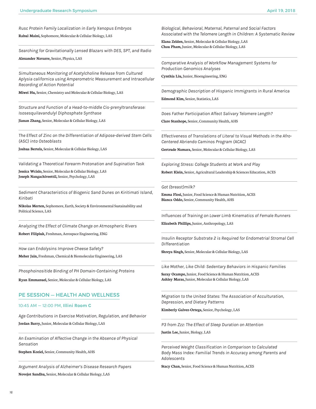*Rusc Protein Family Localization in Early Xenopus Embryos* **Rahul Maini,** Sophomore, Molecular & Cellular Biology, LAS

*Searching for Gravitationally Lensed Blazars with DES, SPT, and Radio* **Alexander Navarre,** Senior, Physics, LAS

*Simultaneous Monitoring of Acetylcholine Release from Cultured Aplysia californica using Amperometric Measurement and Intracellular Recording of Action Potential*

**Miwei Hu,** Senior, Chemistry and Molecular & Cellular Biology, LAS

*Structure and Function of a Head-to-middle Cis-prenyltransferase: Isosesquilavandulyl Diphosphate Synthase*

**Jianan Zhang,** Senior, Molecular & Cellular Biology, LAS

*The Effect of Zinc on the Differentiation of Adipose-derived Stem Cells (ASC) into Osteoblasts*

**Joshua Bertels,** Senior, Molecular & Cellular Biology, LAS

*Validating a Theoretical Forearm Protonation and Supination Task*

**Jessica Wcislo,** Senior, Molecular & Cellular Biology, LAS **Joseph Nangachiveettil,** Senior, Psychology, LAS

*Sediment Characteristics of Biogenic Sand Dunes on Kiritimati Island, Kiribati*

**Nikolas Merten,** Sophomore, Earth, Society & Environmental Sustainability and Political Science, LAS

*Analyzing the Effect of Climate Change on Atmospheric Rivers*

**Robert Filipiuk,** Freshman, Aerospace Engineering, ENG

*How can Endolysins Improve Cheese Safety?*

**Meher Jain,** Freshman, Chemical & Biomolecular Engineering, LAS

*Phosphoinositide Binding of PH Domain-Containing Proteins*

**Ryan Emmanuel,** Senior, Molecular & Cellular Biology, LAS

# PE SESSION — HEALTH AND WELLNESS

# 10:45 AM — 12:00 PM, **Illini Room C**

*Age Contributions in Exercise Motivation, Regulation, and Behavior* **Jordan Barry,** Junior, Molecular & Cellular Biology, LAS

*An Examination of Affective Change in the Absence of Physical Sensation*

**Stephen Koziel,** Senior, Community Health, AHS

*Argument Analysis of Alzheimer's Disease Research Papers* **Novejot Sandhu,** Senior, Molecular & Cellular Biology, LAS

*Biological, Behavioral, Maternal, Paternal and Social Factors Associated with the Telomere Length in Children: A Systematic Review*

**Elana Zelden,** Senior, Molecular & Cellular Biology, LAS **Chau Pham,** Junior, Molecular & Cellular Biology, LAS

*Comparative Analysis of Workflow Management Systems for Production Genomics Analyses*

**Cynthia Liu,** Junior, Bioengineering, ENG

*Demographic Description of Hispanic Immigrants in Rural America*

**Edmond Kim,** Senior, Statistics, LAS

*Does Father Participation Affect Salivary Telomere Length?*

**Clare Stanhope,** Senior, Community Health, AHS

*Effectiveness of Translations of Literal to Visual Methods in the Afro-Centered Abriendo Caminos Program (ACAC)*

**Gertrude Namara,** Senior, Molecular & Cellular Biology, LAS

*Exploring Stress: College Students at Work and Play*

**Robert Klein,** Senior, Agricultural Leadership & Sciences Education, ACES

*Got (breast)milk?*

**Emma Flosi,** Junior, Food Science & Human Nutrition, ACES **Bianca Oddo,** Senior, Community Health, AHS

*Influences of Training on Lower Limb Kinematics of Female Runners*

**Elizabeth Phillips,** Junior, Anthropology, LAS

*Insulin Receptor Substrate 2 is Required for Endometrial Stromal Cell Differentiation*

**Shreya Singh,** Senior, Molecular & Cellular Biology, LAS

*Like Mother, Like Child: Sedentary Behaviors in Hispanic Families*

**Saray Ocampo,** Junior, Food Science & Human Nutrition, ACES **Ashley Maras,** Junior, Molecular & Cellular Biology, LAS

*Migration to the United States: The Association of Acculturation, Depression, and Dietary Patterns*

**Kimberly Galvez-Ortega,** Senior, Psychology, LAS

*P3 from Zzz: The Effect of Sleep Duration on Attention*

**Justin Lee,** Junior, Biology, LAS

*Perceived Weight Classification in Comparison to Calculated Body Mass Index: Familial Trends in Accuracy among Parents and Adolescents*

**Stacy Chan,** Senior, Food Science & Human Nutrition, ACES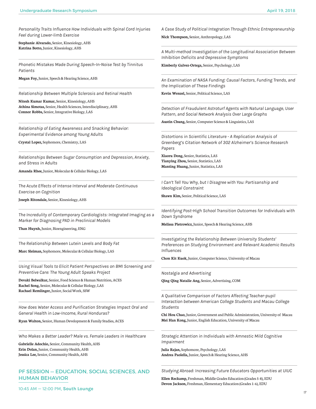*Personality Traits Influence How Individuals with Spinal Cord Injuries Feel during Lower-limb Exercise*

**Stephanie Alvarado,** Senior, Kinesiology, AHS **Katrina Botto,** Junior, Kinesiology, AHS

*Phonetic Mistakes Made During Speech-In-Noise Test by Tinnitus Patients*

**Megan Foy,** Junior, Speech & Hearing Science, AHS

*Relationship Between Multiple Sclerosis and Retinal Health*

**Nitesh Kumar Kumar,** Senior, Kinesiology, AHS **Athina Simotas,** Senior, Health Sciences, Interdisciplinary, AHS **Connor Robbs,** Senior, Integrative Biology, LAS

*Relationship of Eating Awareness and Snacking Behavior: Experimental Evidence among Young Adults*

**Crystal Lopez,** Sophomore, Chemistry, LAS

*Relationships Between Sugar Consumption and Depression, Anxiety, and Stress in Adults*

**Amanda Rhee,** Junior, Molecular & Cellular Biology, LAS

*The Acute Effects of Intense Interval and Moderate Continuous Exercise on Cognition*

**Joseph Ritondale,** Senior, Kinesiology, AHS

*The Incredulity of Contemporary Cardiologists: Integrated Imaging as a Marker for Diagnosing PAD in Preclinical Models*

**Than Huynh,** Junior, Bioengineering, ENG

*The Relationship Between Lutein Levels and Body Fat*

**Marc Sleiman,** Sophomore, Molecular & Cellular Biology, LAS

*Using Visual Tools to Elicit Patient Perspectives on BMI Screening and Preventive Care: The Young Adult Speaks Project*

**Devaki Belwalkar,** Senior, Food Science & Human Nutrition, ACES **Rachel Song,** Senior, Molecular & Cellular Biology, LAS **Rachael Remlinger,** Junior, Social Work, SSW

*How does Water Access and Purification Strategies Impact Oral and General Health in Low-Income, Rural Honduras?*

**Ryan Walton,** Senior, Human Development & Family Studies, ACES

*Who Makes a Better Leader? Male vs. Female Leaders in Healthcare*

**Gabrielle Adochio,** Senior, Community Health, AHS **Erin Dolan,** Junior, Community Health, AHS **Jessica Lee,** Senior, Community Health, AHS

# PF SESSION — EDUCATION, SOCIAL SCIENCES, AND HUMAN BEHAVIOR

*A Case Study of Political Integration Through Ethnic Entrepreneurship*

**Nick Thompson,** Senior, Anthropology, LAS

*A Multi-method Investigation of the Longitudinal Association Between Inhibition Deficits and Depressive Symptoms*

**Kimberly Galvez-Ortega,** Senior, Psychology, LAS

*An Examination of NASA Funding: Causal Factors, Funding Trends, and the Implication of These Findings*

**Kevin Wenzel,** Senior, Political Science, LAS

*Detection of Fraudulent Astroturf Agents with Natural Language, User Pattern, and Social Network Analysis Over Large Graphs*

**Austin Chung,** Senior, Computer Science & Linguistics, LAS

*Distortions in Scientific Literature - A Replication Analysis of Greenberg's Citation Network of 302 Alzheimer's Science Research Papers*

**Xiaoru Dong,** Senior, Statistics, LAS **Tianying Zhou,** Senior, Statistics, LAS **Manting Huang,** Junior, Statistics, LAS

*I Can't Tell You Why, but I Disagree with You: Partisanship and Ideological Constraint*

**Shawn Kim,** Senior, Political Science, LAS

*Identifying Post-High School Transition Outcomes for Individuals with Down Syndrome*

**Melissa Pietrowicz,** Junior, Speech & Hearing Science, AHS

*Investigating the Relationship Between University Students' Preferences on Studying Environment and Relevant Academic Results Influences*

**Chon Kit Kuok,** Junior, Computer Science, University of Macau

*Nostalgia and Advertising*

**Qing Qing Natalie Ang,** Senior, Advertising, COM

*A Qualitative Comparison of Factors Affecting Teacher-pupil Interaction between American College Students and Macau College Students*

**Chi Hou Chao,** Junior, Government and Public Administration, University of Macau **Mei Han Kong,** Junior, English Education, University of Macau

*Strategic Attention in Individuals with Amnestic Mild Cognitive Impairment*

**Julia Rajan,** Sophomore, Psychology, LAS **Andrea Paolella,** Junior, Speech & Hearing Science, AHS

*Studying Abroad: Increasing Future Educators Opportunities at UIUC*

**Ellen Reckamp,** Freshman, Middle Grades Education (Grades 5-8), EDU **Devon Jackson,** Freshman, Elementary Education (Grades 1-6), EDU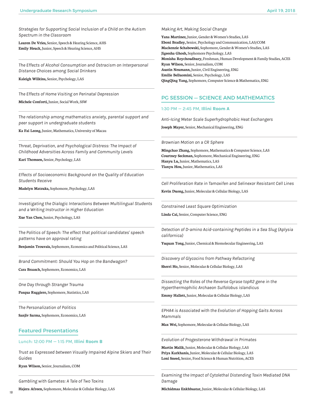*Strategies for Supporting Social Inclusion of a Child on the Autism Spectrum in the Classroom*

**Lauren De Vries,** Senior, Speech & Hearing Science, AHS **Emily Heuck,** Junior, Speech & Hearing Science, AHS

*The Effects of Alcohol Consumption and Ostracism on Interpersonal Distance Choices among Social Drinkers*

**Kaleigh Wilkins,** Senior, Psychology, LAS

*The Effects of Home Visiting on Perinatal Depression*

**Michele Conforti,** Junior, Social Work, SSW

*The relationship among mathematics anxiety, parental support and peer support in undergraduate students*

**Ka Fai Leong,** Junior, Mathematics, University of Macau

*Threat, Deprivation, and Psychological Distress: The Impact of Childhood Adversities Across Family and Community Levels*

**Kari Thomsen,** Senior, Psychology, LAS

*Effects of Socioeconomic Background on the Quality of Education Students Receive* 

**Madelyn Matzuka,** Sophomore, Psychology, LAS

*Investigating the Dialogic Interactions Between Multilingual Students and a Writing Instructor in Higher Education*

**Xue Yan Chen,** Junior, Psychology, LAS

*The Politics of Speech: The effect that political candidates' speech patterns have on approval rating*

**Benjamin Trouvais,** Sophomore, Economics and Political Science, LAS

*Brand Commitment: Should You Hop on the Bandwagon?*

**Cara Braasch,** Sophomore, Economics, LAS

*One Day through Stranger Trauma*

**Pasqua Ruggiero,** Sophomore, Statistics, LAS

*The Personalization of Politics*

**Sanjiv Sarma,** Sophomore, Economics, LAS

# Featured Presentations

#### Lunch: 12:00 PM — 1:15 PM, **Illini Room B**

*Trust as Expressed between Visually Impaired Alpine Skiers and Their Guides*

**Ryan Wilson,** Senior, Journalism, COM

*Gambling with Gametes: A Tale of Two Toxins*

**Hajera Afreen,** Sophomore, Molecular & Cellular Biology, LAS

#### *Making Art, Making Social Change*

**Yana Martinez,** Junior, Gender & Women's Studies, LAS **Eboni Bradley,** Senior, Psychology and Communication, LAS/COM **Mackenzie Schabowski,** Sophomore, Gender & Women's Studies, LAS **Jigeesha Ghosh,** Sophomore Psychology, LAS **Monisha Roychoudhury,** Freshman, Human Development & Family Studies, ACES **Ryan Wilson,** Senior, Journalism, COM **Austin Neumann,** Junior, Civil Engineering, ENG **Emilie Belluomini,** Senior, Psychology, LAS **QingQing Yang,** Sophomore, Computer Science & Mathematics, ENG

# PG SESSION — SCIENCE AND MATHEMATICS

#### 1:30 PM — 2:45 PM, **Illini Room A**

*Anti-Icing Meter Scale Superhydrophobic Heat Exchangers*

**Joseph Mayer,** Senior, Mechanical Engineering, ENG

*Brownian Motion on a CR Sphere*

**Mingchao Zhang,** Sophomore, Mathematics & Computer Science, LAS **Courtney Seckman,** Sophomore, Mechanical Engineering, ENG **Hanyu Lu,** Junior, Mathematics, LAS **Tianyu Hou,** Junior, Mathematics, LAS

*Cell Proliferation Rate in Tamoxifen and Selinexor Resistant Cell Lines*

**Kevin Duong,** Junior, Molecular & Cellular Biology, LAS

*Constrained Least Square Optimization*

**Linda Cai,** Senior, Computer Science, ENG

*Detection of D-amino Acid-containing Peptides in a Sea Slug (Aplysia californica)*

**Yuquan Tong,** Junior, Chemical & Biomolecular Engineering, LAS

*Discovery of Glycocins from Pathway Refactoring*

**Sherri Ho,** Senior, Molecular & Cellular Biology, LAS

*Dissecting the Roles of the Reverse Gyrase topR2 gene in the Hyperthermophilic Archaeon Sulfolobus islandicus*

**Emmy Hallett,** Junior, Molecular & Cellular Biology, LAS

*EPHA4 is Associated with the Evolution of Hopping Gaits Across Mammals*

**Max Wei,** Sophomore, Molecular & Cellular Biology, LAS

*Evolution of Progesterone Withdrawal in Primates*

**Martin Malik,** Junior, Molecular & Cellular Biology, LAS **Priya Karkhanis,** Junior, Molecular & Cellular Biology, LAS **Loni Sneed,** Senior, Food Science & Human Nutrition, ACES

*Examining the Impact of Cytolethal Distending Toxin Mediated DNA Damage*

**Michidmaa Enkhbaatar,** Junior, Molecular & Cellular Biology, LAS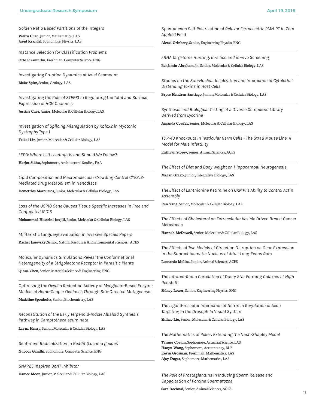*Golden Ratio Based Partitions of the Integers*

**Weiru Chen,** Junior, Mathematics, LAS **Jared Krandel,** Sophomore, Physics, LAS

*Instance Selection for Classification Problems*

**Otto Piramuthu,** Freshman, Computer Science, ENG

*Investigating Eruption Dynamics at Axial Seamount* **Blake Spitz,** Senior, Geology, LAS

*Investigating the Role of STEP61 in Regulating the Total and Surface Expression of HCN Channels*

**Justine Chee,** Junior, Molecular & Cellular Biology, LAS

*Investigation of Splicing Misregulation by Rbfox2 in Myotonic Dystrophy Type 1*

**Feikai Lin,** Junior, Molecular & Cellular Biology, LAS

*LEED: Where Is It Leading Us and Should We Follow?*

**Harjot Sidhu,** Sophomore, Architectural Studies, FAA

*Lipid Composition and Macromolecular Crowding Control CYP2J2- Mediated Drug Metabolism in Nanodiscs*

**Demetrios Maroutsos,** Junior, Molecular & Cellular Biology, LAS

*Loss of the USP18 Gene Causes Tissue Specific Increases in Free and Conjugated ISG15*

**Mohammad Hosseini-Joujili,** Junior, Molecular & Cellular Biology, LAS

*Militaristic Language Evaluation in Invasive Species Papers*

**Rachel Janovsky,** Senior, Natural Resources & Environmental Sciences, ACES

*Molecular Dynamics Simulations Reveal the Conformational Heterogeneity of a Strigolactone Receptor in Parasitic Plants*

**Qihua Chen,** Senior, Materials Science & Engineering, ENG

*Optimizing the Oxygen Reduction Activity of Myoglobin-Based Enzyme Models of Heme-Copper Oxidases Through Site-Directed Mutagenesis*

**Madeline Sponholtz,** Senior, Biochemistry, LAS

*Reconstitution of the Early Terpenoid-Indole Alkaloid Synthesis Pathway in Camptotheca acuminata*

**Layna Henry,** Senior, Molecular & Cellular Biology, LAS

*Sentiment Radicalization in Reddit (Lucania goodei)*

**Nupoor Gandhi,** Sophomore, Computer Science, ENG

*SNAP25 Inspired BoNT Inhibitor*

**Damee Moon,** Junior, Molecular & Cellular Biology, LAS

*Spontaneous Self-Polarization of Relaxor Ferroelectric PMN-PT in Zero Applied Field*

**Alexei Grinberg,** Senior, Engineering Physics, ENG

*sRNA Targetome Hunting: in-silico and in-vivo Screening*

**Benjamin Abraham,** Jr., Senior, Molecular & Cellular Biology, LAS

*Studies on the Sub-Nuclear localization and Interaction of Cytolethal Distending Toxins in Host Cells*

**Bryce Hendren-Santiago,** Junior, Molecular & Cellular Biology, LAS

*Synthesis and Biological Testing of a Diverse Compound Library Derived from Lycorine*

**Amanda Cowfer,** Senior, Molecular & Cellular Biology, LAS

*TDP-43 Knockouts in Testicular Germ Cells - The Stra8 Mouse Line: A Model for Male Infertility*

**Kathryn Storey,** Senior, Animal Sciences, ACES

*The Effect of Diet and Body Weight on Hippocampal Neurogenesis*

**Megan Grako,** Junior, Integrative Biology, LAS

*The Effect of Lanthionine Ketimine on CRMP1's Ability to Control Actin Assembly*

**Ran Yang,** Senior, Molecular & Cellular Biology, LAS

*The Effects of Cholesterol on Extracellular Vesicle Driven Breast Cancer Metastasis*

**Hannah McDowell,** Senior, Molecular & Cellular Biology, LAS

*The Effects of Two Models of Circadian Disruption on Gene Expression in the Suprachiasmatic Nucleus of Adult Long-Evans Rats*

**Leonardo Molina,** Junior, Animal Sciences, ACES

*The Infrared-Radio Correlation of Dusty Star Forming Galaxies at High Redshift*

**Sidney Lower,** Senior, Engineering Physics, ENG

*The Ligand-receptor Interaction of Netrin in Regulation of Axon Targeting in the Drosophila Visual System*

**Shihao Liu,** Senior, Molecular & Cellular Biology, LAS

*The Mathematics of Poker: Extending the Nash-Shapley Model*

**Tanner Corum,** Sophomore, Actuarial Science, LAS **Haoyu Wang,** Sophomore, Accountancy, BUS **Kevin Grosman,** Freshman, Mathematics, LAS **Ajay Dugar,** Sophomore, Mathematics, LAS

*The Role of Prostaglandins in Inducing Sperm Release and Capacitation of Porcine Spermatozoa*

**Sara Dochnal,** Senior, Animal Sciences, ACES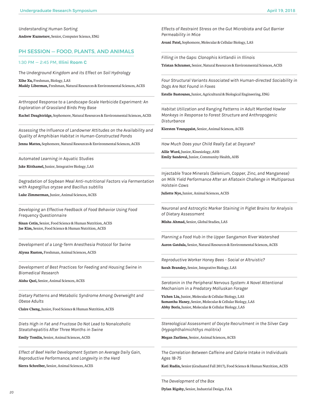*Understanding Human Sorting*

**Andrew Kuznetsov,** Senior, Computer Science, ENG

# PH SESSION — FOOD, PLANTS, AND ANIMALS

#### 1:30 PM — 2:45 PM, **Illini Room C**

*The Underground Kingdom and its Effect on Soil Hydrology*

**Xihe Xu,** Freshman, Biology, LAS **Maddy Liberman,** Freshman, Natural Resources & Environmental Sciences, ACES

*Arthropod Response to a Landscape-Scale Herbicide Experiment: An Exploration of Grassland Birds Prey Base*

**Rachel Daughtridge,** Sophomore, Natural Resources & Environmental Sciences, ACES

*Assessing the Influence of Landowner Attitudes on the Availability and Quality of Amphibian Habitat in Human-Constructed Ponds*

**Jenna Mattes,** Sophomore, Natural Resources & Environmental Sciences, ACES

*Automated Learning in Aquatic Studies*

**Jake Ritthamel,** Junior, Integrative Biology, LAS

*Degradation of Soybean Meal Anti-nutritional Factors via Fermentation with Aspergillus oryzae and Bacillus subtilis*

**Luke Zimmerman,** Junior, Animal Sciences, ACES

*Developing an Effective Feedback of Food Behavior Using Food Frequency Questionnaire*

**Sinan Cetin,** Senior, Food Science & Human Nutrition, ACES **Jae Kim,** Senior, Food Science & Human Nutrition, ACES

*Development of a Long-Term Anesthesia Protocol for Swine*

**Alyssa Ruston,** Freshman, Animal Sciences, ACES

*Development of Best Practices for Feeding and Housing Swine in Biomedical Research*

**Aisha Qazi,** Senior, Animal Sciences, ACES

*Dietary Patterns and Metabolic Syndrome Among Overweight and Obese Adults*

**Claire Cheng,** Junior, Food Science & Human Nutrition, ACES

*Diets High in Fat and Fructose Do Not Lead to Nonalcoholic Steatohepatitis After Three Months in Swine*

**Emily Tomlin,** Senior, Animal Sciences, ACES

*Effect of Beef Heifer Development System on Average Daily Gain, Reproductive Performance, and Longevity in the Herd*

**Sierra Schreiber,** Senior, Animal Sciences, ACES

*Effects of Restraint Stress on the Gut Microbiota and Gut Barrier Permeability in Mice*

**Avani Patel,** Sophomore, Molecular & Cellular Biology, LAS

*Filling in the Gaps: Clonophis kirtlandii in Illinois*

**Tristan Schramer,** Senior, Natural Resources & Environmental Sciences, ACES

*Four Structural Variants Associated with Human-directed Sociability in Dogs Are Not Found in Foxes*

**Estelle Bastounes,** Junior, Agricultural & Biological Engineering, ENG

*Habitat Utilization and Ranging Patterns in Adult Mantled Howler Monkeys in Response to Forest Structure and Anthropogenic Disturbance*

**Kiersten Youngquist,** Senior, Animal Sciences, ACES

*How Much Does your Child Really Eat at Daycare?*

**Allie Ward,** Junior, Kinesiology, AHS **Emily Sandoval,** Junior, Community Health, AHS

*Injectable Trace Minerals (Selenium, Copper, Zinc, and Manganese) on Milk Yield Performance After an Aflatoxin Challenge in Multiparous Holstein Cows*

**Juliette Nye,** Junior, Animal Sciences, ACES

*Neuronal and Astrocytic Marker Staining in Piglet Brains for Analysis of Dietary Assessment*

**Misha Ahmad,** Senior, Global Studies, LAS

*Planning a Food Hub in the Upper Sangamon River Watershed*

**Aaron Gatdula,** Senior, Natural Resources & Environmental Sciences, ACES

*Reproductive Worker Honey Bees - Social or Altruistic?*

**Sarah Bransley,** Senior, Integrative Biology, LAS

*Serotonin in the Peripheral Nervous System: A Novel Attentional Mechanism in a Predatory Molluskan Forager*

**Yichen Liu,** Junior, Molecular & Cellular Biology, LAS **Samantha Haney,** Senior, Molecular & Cellular Biology, LAS **Abby Boris,** Junior, Molecular & Cellular Biology, LAS

*Stereological Assessment of Oocyte Recruitment in the Silver Carp (Hypophthalmichthys molitrix)*

**Megan Zurliene,** Senior, Animal Sciences, ACES

*The Correlation Between Caffeine and Calorie Intake in Individuals Ages 18-75*

**Kati Rudin,** Senior (Graduated Fall 2017), Food Science & Human Nutrition, ACES

*The Development of the Box* **Dylan Rigsby,** Senior, Industrial Design, FAA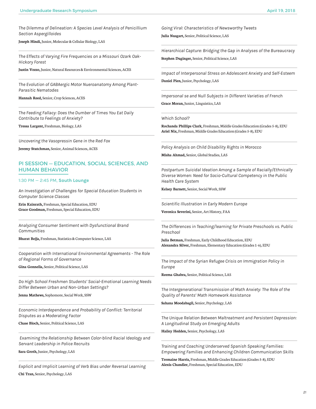*The Dilemma of Delineation: A Species Level Analysis of Penicillium Section Aspergilloides*

**Joseph Hindi,** Junior, Molecular & Cellular Biology, LAS

*The Effects of Varying Fire Frequencies on a Missouri Ozark Oak-Hickory Forest*

**Justin Vozzo,** Junior, Natural Resources & Environmental Sciences, ACES

*The Evolution of GABAergic Motor Nueroanatomy Among Plant-Parasitic Nematodes*

**Hannah Reed,** Senior, Crop Sciences, ACES

*The Feeding Fallacy: Does the Dumber of Times You Eat Daily Contribute to Feelings of Anxiety?*

**Tressa Largent,** Freshman, Biology, LAS

*Uncovering the Vasopressin Gene in the Red Fox*

**Jeremy Stutchman,** Senior, Animal Sciences, ACES

# PI SESSION — EDUCATION, SOCIAL SCIENCES, AND HUMAN BEHAVIOR

#### 1:30 PM — 2:45 PM, **South Lounge**

*An Investigation of Challenges for Special Education Students in Computer Science Classes*

**Erin Kainrath,** Freshman, Special Education, EDU **Grace Goodman,** Freshman, Special Education, EDU

*Analyzing Consumer Sentiment with Dysfunctional Brand Communities*

**Bharat Bojja,** Freshman, Statistics & Computer Science, LAS

*Cooperation with International Environmental Agreements - The Role of Regional Forms of Governance*

**Gina Gonnella,** Senior, Political Science, LAS

*Do High School Freshmen Students' Social-Emotional Learning Needs Differ Between Urban and Non-Urban Settings?*

**Jenna Mathews,** Sophomore, Social Work, SSW

*Economic Interdependence and Probability of Conflict: Territorial Disputes as a Moderating Factor*

**Chase Bloch,** Senior, Political Science, LAS

 *Examining the Relationship Between Color-blind Racial Ideology and Servant Leadership in Police Recruits*

**Sara Groth,** Junior, Psychology, LAS

*Explicit and Implicit Learning of Verb Bias under Reversal Learning* **Chi Tran,** Senior, Psychology, LAS

*Going Viral: Characteristics of Newsworthy Tweets*

**Julia Nusgart,** Senior, Political Science, LAS

*Hierarchical Capture: Bridging the Gap in Analyses of the Bureaucracy* **Stephen Duginger,** Senior, Political Science, LAS

*Impact of Interpersonal Stress on Adolescent Anxiety and Self-Esteem*

**Daniel Pien,** Junior, Psychology, LAS

*Impersonal se and Null Subjects in Different Varieties of French*

**Grace Moran,** Junior, Linguistics, LAS

*Which School?*

**Rochanda Phillips Clark,** Freshman, Middle Grades Education (Grades 5-8), EDU **Ariel Nix,** Freshman, Middle Grades Education (Grades 5-8), EDU

*Policy Analysis on Child Disability Rights in Morocco*

**Misha Ahmad,** Senior, Global Studies, LAS

*Postpartum Suicidal Ideation Among a Sample of Racially/Ethnically Diverse Women: Need for Socio-Cultural Competency in the Public Health Care System*

**Kelsey Barnett,** Senior, Social Work, SSW

*Scientific Illustration in Early Modern Europe*

**Veronica Severini,** Senior, Art History, FAA

*The Differences in Teaching/learning for Private Preschools vs. Public Preschool*

**Julia Betman,** Freshman, Early Childhood Education, EDU **Alexandra Silver,** Freshman, Elementary Education (Grades 1-6), EDU

*The Impact of the Syrian Refugee Crisis on Immigration Policy in Europe*

**Reema Ghabra,** Senior, Political Science, LAS

*The Intergenerational Transmission of Math Anxiety: The Role of the Quality of Parents' Math Homework Assistance*

**Sahana Moodabagil,** Senior, Psychology, LAS

*The Unique Relation Between Maltreatment and Persistent Depression: A Longitudinal Study on Emerging Adults*

**Hailey Hedden,** Senior, Psychology, LAS

*Training and Coaching Underserved Spanish Speaking Families: Empowering Families and Enhancing Children Communication Skills*

**Tremaine Harris,** Freshman, Middle Grades Education (Grades 5-8), EDU **Alexis Chandler,** Freshman, Special Education, EDU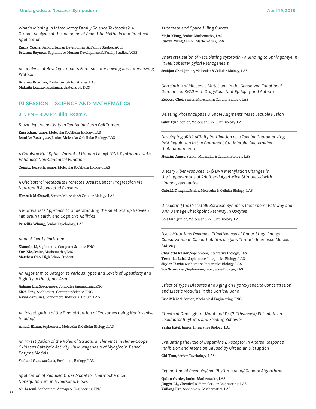*What's Missing in Introductory Family Science Textbooks? A Critical Analysis of the Inclusion of Scientific Methods and Practical Application*

**Emily Young,** Senior, Human Development & Family Studies, ACES **Brianna Baymon,** Sophomore, Human Development & Family Studies, ACES

*An analysis of How Age Impacts Forensic Interviewing and Interviewing Protocol*

**Brianna Boynton,** Freshman, Global Studies, LAS **Makaila Lozano,** Freshman, Undeclared, DGS

# PJ SESSION — SCIENCE AND MATHEMATICS

#### 3:15 PM — 4:30 PM, **Illini Room A**

*5-aza Hypersensitivity in Testicular Germ Cell Tumors*

**Ema Khan,** Junior, Molecular & Cellular Biology, LAS **Jennifer Rodriguez,** Junior, Molecular & Cellular Biology, LAS

*A Catalytic Null Splice Variant of Human Leucyl-tRNA Synthetase with Enhanced Non-Canonical Function*

**Connor Forsyth,** Senior, Molecular & Cellular Biology, LAS

*A Cholesterol Metabolite Promotes Breast Cancer Progression via Neutrophil Associated Exosomes*

**Hannah McDowell,** Senior, Molecular & Cellular Biology, LAS

*A Multivariate Approach to Understanding the Relationship Between Fat, Brain Health, and Cognitive Abilities*

**Priscilla Whang,** Senior, Psychology, LAS

*Almost Beatty Partitions*

**Xiaomin Li,** Sophomore, Computer Science, ENG **Yun Xie,** Senior, Mathematics, LAS **Matthew Cho,** High School Student

*An Algorithm to Categorize Various Types and Levels of Spasticity and Rigidity in the Upper-Arm*

**Jiahang Liu,** Sophomore, Computer Engineering, ENG **Zifei Feng,** Sophomore, Computer Science, ENG **Kayla Arquines,** Sophomore, Industrial Design, FAA

*An Investigation of the Biodistribution of Exosomes using Noninvasive Imaging*

**Anand Haran,** Sophomore, Molecular & Cellular Biology, LAS

*An Investigation of the Roles of Structural Elements in Heme-Copper Oxidases Catalytic Activity via Mutagenesis of Myoglobin-Based Enzyme Models*

**Shehani Gunawardena,** Freshman, Biology, LAS

*Application of Reduced Order Model for Thermochemical Nonequilibrium in Hypersonic Flows*

**Ali Lasemi,** Sophomore, Aerospace Engineering, ENG

*22*

*Automata and Space-filling Curves*

**Ziqin Xiong,** Senior, Mathematics, LAS **Ruoyu Meng,** Senior, Mathematics, LAS

*Characterization of Vacuolating cytotoxin - A Binding to Sphingomyelin in Helicobacter pylori Pathogenesis*

**Seokjoo Choi,** Junior, Molecular & Cellular Biology, LAS

*Correlation of Missense Mutations in the Conserved Functional Domains of Kv7.2 with Drug-Resistant Epilepsy and Autism*

**Rebecca Choi,** Senior, Molecular & Cellular Biology, LAS

*Deleting Phospholipase D Spo14 Augments Yeast Vacuole Fusion*

**Sabit Ejub,** Senior, Molecular & Cellular Biology, LAS

*Developing sRNA Affinity Purification as a Tool for Characterizing RNA Regulation in the Prominent Gut Microbe Bacteroides thetaiotaomicron*

**Nuraini Aguse,** Senior, Molecular & Cellular Biology, LAS

*Dietary Fiber Produces IL-1*β *DNA Methylation Changes in the Hippocampus of Adult and Aged Mice Stimulated with Lipopolysaccharide* 

**Gabriel Dungan,** Senior, Molecular & Cellular Biology, LAS

*Dissecting the Crosstalk Between Synapsis Checkpoint Pathway and DNA Damage Checkpoint Pathway in Oocytes*

**Lois Suh,** Junior, Molecular & Cellular Biology, LAS

*Dys-1 Mutations Decrease Effectiveness of Dauer Stage Energy Conservation in Caenorhabditis elegans Through Increased Muscle Activity*

**Charlotte Nawor,** Sophomore, Integrative Biology, LAS **Veronika Laird,** Sophomore, Integrative Biology, LAS **Skyler Tiarks,** Sophomore, Integrative Biology, LAS **Zoe Schnitzler,** Sophomore, Integrative Biology, LAS

*Effect of Type 1 Diabetes and Aging on Hydroxyapatite Concentration and Elastic Modulus in the Cortical Bone*

**Eric Michael,** Senior, Mechanical Engineering, ENG

*Effects of Dim Light at Night and Di-(2-Ethylhexyl) Phthalate on Locomotor Rhythms and Feeding Behavior*

**Yesha Patel,** Junior, Integrative Biology, LAS

*Evaluating the Role of Dopamine 2 Receptor in Altered Response Inhibition and Attention Caused by Circadian Disruption*

**Chi Tran,** Senior, Psychology, LAS

*Exploration of Physiological Rhythms using Genetic Algorithms*

**Quinn Gerdes,** Junior, Mathematics, LAS **Jingyu Li,** , Chemical & Biomolecular Engineering, LAS **Yuliang Fan,** Sophomore, Mathematics, LAS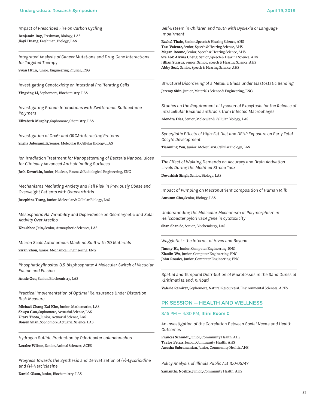*Impact of Prescribed Fire on Carbon Cycling*

**Benjamin Ray,** Freshman, Biology, LAS **Jiayi Huang,** Freshman, Biology, LAS

*Integrated Analysis of Cancer Mutations and Drug-Gene Interactions for Targeted Therapy*

**Swan Htun,** Junior, Engineering Physics, ENG

*Investigating Genotoxicity on Intestinal Proliferating Cells* **Yingxing Li,** Sophomore, Biochemistry, LAS

*Investigating Protein Interactions with Zwitterionic Sulfobetaine Polymers*

**Elizabeth Murphy,** Sophomore, Chemistry, LAS

*Investigation of Orc6- and ORCA-interacting Proteins*

**Sneha Adusumilli,** Senior, Molecular & Cellular Biology, LAS

*Ion Irradiation Treatment for Nanopatterning of Bacteria Nanocellulose for Clinically Advanced Anti-biofouling Surfaces*

**Josh Devorkin,** Junior, Nuclear, Plasma & Radiological Engineering, ENG

*Mechanisms Mediating Anxiety and Fall Risk in Previously Obese and Overweight Patients with Osteoarthritis*

**Josephine Tsang,** Junior, Molecular & Cellular Biology, LAS

*Mesospheric Na Variability and Dependence on Geomagnetic and Solar Activity Over Arecibo*

**Khushboo Jain,** Senior, Atmospheric Sciences, LAS

*Micron Scale Autonomous Machine Built with 2D Materials*

**Ziran Zhou,** Junior, Mechanical Engineering, ENG

*Phosphatidylinositol 3,5-bisphosphate: A Molecular Switch of Vacuolar Fusion and Fission*

**Annie Guo,** Senior, Biochemistry, LAS

*Practical Implementation of Optimal Reinsurance Under Distortion Risk Measure*

**Michael Chang Eui Kim,** Junior, Mathematics, LAS **Shuyu Guo,** Sophomore, Actuarial Science, LAS **Utsav Thota,** Junior, Actuarial Science, LAS **Bowen Shan,** Sophomore, Actuarial Science, LAS

*Hydrogen Sulfide Production by Odoribacter splanchnichus*

**Loralee Wilson,** Senior, Animal Sciences, ACES

*Progress Towards the Synthesis and Derivatization of (+)-Lycoricidine and (+)-Narciclasine*

**Daniel Olson,** Junior, Biochemistry, LAS

*Self-Esteem in Children and Youth with Dyslexia or Language Impairment*

**Rachel Thain,** Senior, Speech & Hearing Science, AHS **Tess Valente,** Senior, Speech & Hearing Science, AHS **Megan Roome,** Senior, Speech & Hearing Science, AHS **Sze Lok Alvina Cheng,** Senior, Speech & Hearing Science, AHS **Jillian Stassus,** Senior, Senior, Speech & Hearing Science, AHS **Abby Seef,** Senior, Speech & Hearing Science, AHS

*Structural Disordering of a Metallic Glass under Elastostatic Bending*

**Jeremy Shin,** Junior, Materials Science & Engineering, ENG

*Studies on the Requirement of Lysosomal Exocytosis for the Release of Intracellular Bacillus anthracis from Infected Macrophages*

**Alondra Diaz,** Senior, Molecular & Cellular Biology, LAS

*Synergistic Effects of High-Fat Diet and DEHP Exposure on Early Fetal Oocyte Development*

**Tianming You,** Junior, Molecular & Cellular Biology, LAS

*The Effect of Walking Demands on Accuracy and Brain Activation Levels During the Modified Stroop Task*

**Devashish Singh,** Senior, Biology, LAS

*Impact of Pumping on Macronutrient Composition of Human Milk*

**Autumn Cho,** Senior, Biology, LAS

*Understanding the Molecular Mechanism of Polymorphism in Helicobacter pylori vacA gene in cytotoxicity*

**Shan Shan So,** Senior, Biochemistry, LAS

*WaggleNet - the Internet of Hives and Beyond*

**Jimmy He,** Junior, Computer Engineering, ENG **Xiaolin Wu,** Junior, Computer Engineering, ENG **John Rosales,** Junior, Computer Engineering, ENG

*Spatial and Temporal Distribution of Microfossils in the Sand Dunes of Kiritimati Island, Kiribati*

**Valerie Ramirez,** Sophomore, Natural Resources & Environmental Sciences, ACES

## PK SESSION — HEALTH AND WELLNESS

#### 3:15 PM — 4:30 PM, **Illini Room C**

*An Investigation of the Correlation Between Social Needs and Health Outcomes*

**Frances Schmidt,** Junior, Community Health, AHS **Taylor Peters,** Junior, Community Health, AHS **Anusha Subramanian,** Junior, Community Health, AHS

*Policy Analysis of Illinois Public Act 100-0574?*

**Samantha Noehre,** Junior, Community Health, AHS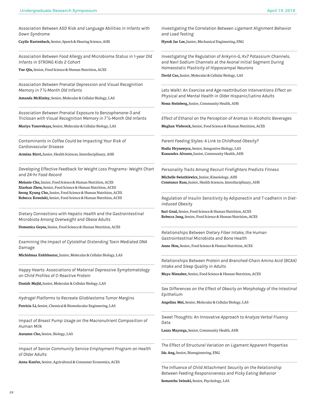*Association Between ASD Risk and Language Abilities in Infants with Down Syndrome*

**Caylie Kurtenbach,** Senior, Speech & Hearing Science, AHS

*Association Between Food Allergy and Microbiome Status in 1-year Old Infants in STRONG Kids 2 Cohort*

**Yue Qin,** Senior, Food Science & Human Nutrition, ACES

*Association Between Prenatal Depression and Visual Recognition Memory in 7* ½*-Month Old Infants*

**Amanda McKinley,** Senior, Molecular & Cellular Biology, LAS

*Association Between Prenatal Exposure to Benzophenone-3 and Triclosan with Visual Recognition Memory in 7* ½*-Month Old Infants*

**Mariya Yanovskaya,** Senior, Molecular & Cellular Biology, LAS

*Contaminants in Coffee Could be Impacting Your Risk of Cardiovascular Disease*

**Armina Rizvi,** Junior, Health Sciences, Interdisciplinary, AHS

*Developing Effective Feedback for Weight Loss Programs- Weight Chart and 24-hr Food Record*

**Melanie Cho,** Junior, Food Science & Human Nutrition, ACES **Xiaohan Zhou,** Senior, Food Science & Human Nutrition, ACES **Seong Kyung Cho,** Junior, Food Science & Human Nutrition, ACES **Rebecca Kowalski,** Senior, Food Science & Human Nutrition, ACES

*Dietary Connections with Hepatic Health and the Gastrointestinal Microbiota Among Overweight and Obese Adults*

**Domenica Goyes,** Senior, Food Science & Human Nutrition, ACES

*Examining the Impact of Cytolethal Distending Toxin Mediated DNA Damage*

**Michidmaa Enkhbaatar,** Junior, Molecular & Cellular Biology, LAS

*Happy Hearts: Associations of Maternal Depressive Symptomatology on Child Profiles of C-Reactive Protein*

**Danish Majid,** Junior, Molecular & Cellular Biology, LAS

*Hydrogel Platforms to Recreate Glioblastoma Tumor Margins* **Patricia Li,** Senior, Chemical & Biomolecular Engineering, LAS

*Impact of Breast Pump Usage on the Macronutrient Composition of Human Milk*

**Autumn Cho,** Senior, Biology, LAS

*Impact of Senior Community Service Employment Program on Health of Older Adults*

**Anna Kanfer,** Senior, Agricultural & Consumer Economics, ACES

*Investigating the Correlation Between Ligament Alignment Behavior and Load Testing*

**Hyeok Jae Lee,** Junior, Mechanical Engineering, ENG

*Investigating the Regulation of Ankyrin-G, Kv7 Potassium Channels, and Nav1 Sodium Channels at the Axonal Initial Segment During Homeostatic Plasticity of Hippocampal Neurons*

**David Cao,** Junior, Molecular & Cellular Biology, LAS

Lets Walk!: An Exercise and Age-reattribution Interventions Effect on *Physical and Mental Health in Older Hispanic/Latino Adults*

**Nessa Steinberg,** Junior, Community Health, AHS

*Effect of Ethanol on the Perception of Aromas in Alcoholic Beverages* **Meghan Viebrock,** Senior, Food Science & Human Nutrition, ACES

*Parent Feeding Styles: A Link to Childhood Obesity?*

**Nadia Hrynewycz,** Senior, Integrative Biology, LAS **Kassandra Alvarez,** Junior, Community Health, AHS

*Personality Traits Among Recruit Firefighters Predicts Fitness*

**Michelle Swiatkiewicz,** Junior, Kinesiology, AHS **Constance Kass,** Junior, Health Sciences, Interdisciplinary, AHS

*Regulation of Insulin Sensitivity by Adiponectin and T-cadherin in Dietinduced Obesity*

**Sari Grad,** Senior, Food Science & Human Nutrition, ACES **Rebecca Jung,** Senior, Food Science & Human Nutrition, ACES

*Relationships Between Dietary Fiber Intake, the Human Gastrointestinal Microbiota and Bone Health*

**Anne Hou,** Senior, Food Science & Human Nutrition, ACES

*Relationships Between Protein and Branched-Chain Amino Acid (BCAA) Intake and Sleep Quality in Adults*

**Maya Nienaber,** Senior, Food Science & Human Nutrition, ACES

*Sex Differences on the Effect of Obesity on Morphology of the Intestinal Epithelium*

**Angelina Mei,** Senior, Molecular & Cellular Biology, LAS

*Sweet Thoughts: An Innovative Approach to Analyze Verbal Fluency Data*

**Laura Mayorga,** Senior, Community Health, AHS

*The Effect of Structural Variation on Ligament Apparent Properties* **Ida Ang,** Senior, Bioengineering, ENG

*The Influence of Child Attachment Security on the Relationship Between Feeding Responsiveness and Picky Eating Behavior* **Samantha Iwinski,** Senior, Psychology, LAS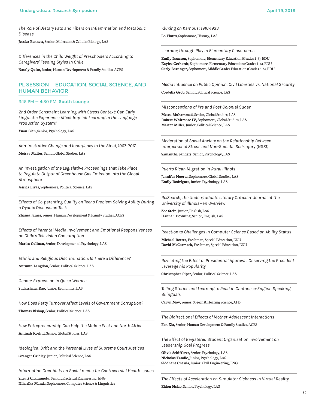*The Role of Dietary Fats and Fibers on Inflammation and Metabolic Disease*

**Jessica Bennett,** Senior, Molecular & Cellular Biology, LAS

*Differences in the Child Weight of Preschoolers According to Caregivers' Feeding Styles in Chile*

**Nataly Quito,** Junior, Human Development & Family Studies, ACES

# PL SESSION — EDUCATION, SOCIAL SCIENCE, AND HUMAN BEHAVIOR

3:15 PM — 4:30 PM, **South Lounge**

*2nd Order Constraint Learning with Stress Context: Can Early Linguistic Experience Affect Implicit Learning in the Language Production System?*

**Yuan Bian,** Senior, Psychology, LAS

*Administrative Change and Insurgency in the Sinai, 1967-2017*

**Meirav Malter,** Senior, Global Studies, LAS

*An Investigation of the Legislative Proceedings that Take Place to Regulate Output of Greenhouse Gas Emission Into the Global Atmosphere*

**Jessica Livas,** Sophomore, Political Science, LAS

*Effects of Co-parenting Quality on Teens Problem Solving Ability During a Dyadic Discussion Task*

**Zhanea James,** Senior, Human Development & Family Studies, ACES

*Effects of Parental Media Involvement and Emotional Responsiveness on Child's Television Consumption*

**Marisa Cullnan,** Senior, Developmental Psychology, LAS

*Ethnic and Religious Discrimination: Is There a Difference?*

**Autumn Langdon,** Senior, Political Science, LAS

*Gender Expression in Queer Women* 

**Sudarshana Rao,** Junior, Economics, LAS

*How Does Party Turnover Affect Levels of Government Corruption?* **Thomas Bishop,** Senior, Political Science, LAS

*How Entrepreneurship Can Help the Middle East and North Africa* **Aminah Koshul,** Senior, Global Studies, LAS

*Ideological Drift and the Personal Lives of Supreme Court Justices* **Granger Gridley,** Junior, Political Science, LAS

*Information Credibility on Social media for Controversial Health Issues*

**Shruti Chanumolu,** Senior, Electrical Engineering, ENG **Niharika Manda,** Sophomore, Computer Science & Linguistics *Kluxing on Kampus; 1910-1933*

**Lo Flores,** Sophomore, History, LAS

*Learning through Play in Elementary Classrooms*

**Emily Isaacson,** Sophomore, Elementary Education (Grades 1-6), EDU **Kaylee Gerhardt,** Sophomore, Elementary Education (Grades 1-6), EDU **Carly Bessinger,** Sophomore, Middle Grades Education (Grades 5-8), EDU

*Media Influence on Public Opinion: Civil Liberties vs. National Security*

**Cordelia Grob,** Senior, Political Science, LAS

*Misconceptions of Pre and Post Colonial Sudan*

**Mecca Muhammad,** Senior, Global Studies, LAS **Robert Whitmore IV,** Sophomore, Global Studies, LAS **Martez Miller,** Junior, Political Science, LAS

*Moderation of Social Anxiety on the Relationship Between Interpersonal Stress and Non-Suicidal Self-Injury (NSSI)*

**Samantha Sanders,** Senior, Psychology, LAS

*Puerto Rican Migration in Rural Illinois*

**Jennifer Huerta,** Sophomore, Global Studies, LAS **Emily Rodríguez,** Junior, Psychology, LAS

*Re:Search, the Undergraduate Literary Criticism Journal at the University of Illinois--an Overview*

**Zoe Stein,** Junior, English, LAS **Hannah Downing,** Senior, English, LAS

*Reaction to Challenges in Computer Science Based on Ability Status*

**Michael Rotter,** Freshman, Special Education, EDU **David McCormack,** Freshman, Special Education, EDU

*Revisiting the Effect of Presidential Approval: Observing the President Leverage his Popularity*

**Christopher Piper,** Senior, Political Science, LAS

*Telling Stories and Learning to Read in Cantonese-English Speaking Bilinguals*

**Caryn Moy,** Senior, Speech & Hearing Science, AHS

*The Bidirectional Effects of Mother-Adolescent Interactions*

**Fan Xia,** Senior, Human Development & Family Studies, ACES

*The Effect of Registered Student Organization Involvement on Leadership Goal Progress*

**Olivia Schifferer,** Senior, Psychology, LAS **Nicholas Tandle,** Junior, Psychology, LAS **Siddhant Chawla,** Junior, Civil Engineering, ENG

*The Effects of Acceleration on Simulator Sickness in Virtual Reality*

**Eldon Hsiao,** Senior, Psychology, LAS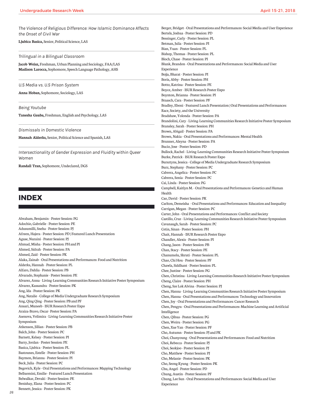*The Violence of Religious Difference: How Islamic Dominance Affects the Onset of Civil War* **Ljubica Basica,** Senior, Political Science, LAS *Trilingual in a Bilingual Classroom* **Jacob Weisz,** Freshman, Urban Planning and Sociology, FAA/LAS **Madison Larocca,** Sophomore, Speech Language Pathology, AHS *U.S Media vs. U.S Prison System* **Anna Hoban,** Sophomore, Sociology, LAS *Being Youtube* **Tanesha Gauba,** Freshman, English and Psychology, LAS *Dismissals in Domestic Violence* **Hannah Alderks,** Senior, Political Science and Spanish, LAS *Intersectionality of Gender Expression and Fluidity within Queer Women* **Randall Tran,** Sophomore, Undeclared, DGS **INDEX** Abraham, Benjamin - Poster Session: PG Adochio, Gabrielle - Poster Session: PE Adusumilli, Sneha - Poster Session: PJ Afreen, Hajera - Poster Session: PD | Featured Lunch Presentation Aguse, Nuraini - Poster Session: PJ Ahmad, Misha - Poster Session: PH and PI Ahmed, Sidrah - Poster Session: PA Ahmed, Zaid - Poster Session: PK Alaka, Zainab - Oral Presentations and Performances: Food and Nutrition Alderks, Hannah - Poster Session: PL Alfaro, Dahlia - Poster Session: PB Alvarado, Stephanie - Poster Session: PE Alvarez, Anna - Living-Learning Communities Research Initiative Poster Symposium Alvarez, Kassandra - Poster Session: PK Ang, Ida - Poster Session: PK Ang, Natalie - College of Media Undergraduate Research Symposium Ang, Qing Qing - Poster Session: PB and PF Ansari, Muneeb - ISUR Research Poster Expo Araiza-Bravo, Oscar- Poster Session: PA Asenova, Velimira - Living-Learning Communities Research Initiative Poster Symposium Atkenson, Jillian - Poster Session: PB Balch, John - Poster Session: PC Barnett, Kelsey - Poster Session: PI Barry, Jordan - Poster Session: PE Basica, Ljubica - Poster Session: PL Bastounes, Estelle - Poster Session: PH Baymon, Brianna - Poster Session: PI Beck, Julia - Poster Session: PC Begovich, Kyle - Oral Presentations and Performances: Mapping Technology Belluomini, Emilie - Featured Lunch Presentation Belwalkar, Devaki - Poster Session: PE Benishay, Elana - Poster Session: PC Bennett, Jessica - Poster Session: PK Berger, Bridget - Oral Presentations and Performances: Social Media and User Experience Bertels, Joshua - Poster Session: PD Bessinger, Carly - Poster Session: PL Betman, Julia - Poster Session: PI Bian, Yuan - Poster Session: PL Bishop, Thomas - Poster Session: PL Bloch, Chase - Poster Session: PI Blunk, Brandon - Oral Presentations and Performances: Social Media and User Experience Bojja, Bharat - Poster Session: PI Boris, Abby - Poster Session: PH Botto, Katrina - Poster Session: PE Boyce, Amber - ISUR Research Poster Expo Boynton, Brianna - Poster Session: PI Braasch, Cara - Poster Session: PF Bradley, Eboni - Featured Lunch Presentation | Oral Presentations and Performances: Race, Society, and the University Bradshaw, Yolonda - Poster Session: PA Brandolini, Cary - Living-Learning Communities Research Initiative Poster Symposium Bransley, Sarah - Poster Session: PH Brown, Abigail - Poster Session: PA Brown, Nakia - Oral Presentations and Performances: Mental Health Brunner, Aleyna - Poster Session: PA Bucio, Jose - Poster Session: PD Bullock, Rachel - Living-Learning Communities Research Initiative Poster Symposium Burke, Patrick - ISUR Research Poster Expo Bursztyns, Jessica - College of Media Undergraduate Research Symposium Burz, Stephany - Poster Session: PC Cabrera, Angelica - Poster Session: PC Cabrera, Sonia - Poster Session: PC Cai, Linda - Poster Session: PG Campbell, Kaitlyn M. - Oral Presentations and Performances: Genetics and Human Health Cao, David - Poster Session: PK Carlton, Demeisha - Oral Presentations and Performances: Education and Inequality Carrigan, Megan - Poster Session: PC Carter, John - Oral Presentations and Performances: Conflict and Society Castillo, Cruz - Living-Learning Communities Research Initiative Poster Symposium Cavanaugh, Sarah - Poster Session: PC Cetin, Sinan - Poster Session: PH Chait, Hannah - ISUR Research Poster Expo Chandler, Alexis - Poster Session: PI Chang, Jason - Poster Session: PB Chan, Stacy - Poster Session: PE Chanumolu, Shruti - Poster Session: PL Chao, Chi Hou - Poster Session: PF Chawla, Siddhant - Poster Session: PL Chee, Justine - Poster Session: PG Chen, Christina - Living-Learning Communities Research Initiative Poster Symposium Cheng, Claire - Poster Session: PH Cheng, Sze Lok Alvina - Poster Session: PJ Chen, Hanna - Living-Learning Communities Research Initiative Poster Symposium Chen, Hanna - Oral Presentations and Performances: Technology and Innovation Chen, Joy - Oral Presentations and Performances: Cancer Research Chen, Pengyu - Oral Presentations and Performances: Machine Learning and Artificial Intelligence Chen, Qihua - Poster Session: PG Chen, Weiru - Poster Session: PG Chen, Xue Yan - Poster Session: PF Cho, Autumn - Poster Session: PJ and PK Choi, Chanyoung - Oral Presentations and Performances: Food and Nutrition Choi, Rebecca - Poster Session: PJ Choi, Seokjoo - Poster Session: PJ Cho, Matthew - Poster Session: PJ Cho, Melanie - Poster Session: PK Cho, Seong Kyung - Poster Session: PK Chu, Angel - Poster Session: PD Chung, Austin - Poster Session: PF Chung, Lee Sun - Oral Presentations and Performances: Social Media and User Experience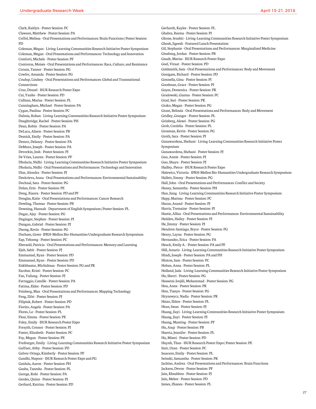Clark, Kaitlyn - Poster Session: PC Clawson, Matthew - Poster Session: PA Coffel, Melissa - Oral Presentations and Performances: Brain Functions | Poster Session: PD Coleman, Megan - Living-Learning Communities Research Initiative Poster Symposium Coleman, Megan - Oral Presentations and Performances: Technology and Innovation Conforti, Michele - Poster Session: PF Contreras, Moisés - Oral Presentations and Performances: Race, Culture, and Resistance Corum, Tanner - Poster Session: PG Cowfer, Amanda - Poster Session: PG Crudup, Lindsey - Oral Presentations and Performances: Global and Transnational Connections Cruz, Denzel - ISUR Research Poster Expo Cui, Yunhe - Poster Session: PD Cullnan, Marisa - Poster Session: PL Cunningham, Michael - Poster Session: PA Cygan, Paulina - Poster Session: PC Dalmia, Rohan - Living-Learning Communities Research Initiative Poster Symposium Daughtridge, Rachel - Poster Session: PH Dean, Robin - Poster Session: PA DeLuca, Alison - Poster Session: PB Demick, Emily - Poster Session: PA Demro, Delaney - Poster Session: PA DeMuro, Joseph - Poster Session: PA Devorkin, Josh - Poster Session: PJ De Vries, Lauren - Poster Session: PF Dholaria, Nidhi - Living-Learning Communities Research Initiative Poster Symposium Dholaria, Nidhi - Oral Presentations and Performances: Technology and Innovation Diaz, Alondra - Poster Session: PJ Dmitrieva, Anna - Oral Presentations and Performances: Environmental Sustainability Dochnal, Sara - Poster Session: PG Dolan, Erin - Poster Session: PE Dong, Xiaoru - Poster Session: PD and PF Douglas, Katie - Oral Presentations and Performances: Cancer Research Dowling, Thomas - Poster Session: PB Downing, Hannah - Department of English Symposium | Poster Session: PL Dugar, Ajay - Poster Session: PG Duginger, Stephen - Poster Session: PI Dungan, Gabriel - Poster Session: PJ Duong, Kevin - Poster Session: PG Durham, Greer- IPRH-Mellon Bio-Humanities Undergraduate Research Symposium Eap, Teksong - Poster Session: PC Ebersold, Patricia - Oral Presentations and Performances: Memory and Learning Ejub, Sabit - Poster Session: PJ Emmanuel, Ryan - Poster Session: PD Emmanuel, Ryan – Poster Session: PD Enkhbaatar, Michidmaa - Poster Session: PG and PK Escobar, Kristi - Poster Session: PC Fan, Yuliang - Poster Session: PJ Farruggio, Camille - Poster Session: PA Fatima, Eldes - Poster Session: PD Feinberg, Max - Oral Presentations and Performances: Mapping Technology Feng, Zifei - Poster Session: PJ Filipiuk, Robert - Poster Session: PD Fiorito, Angela - Poster Session: PA Flores, Lo - Poster Session: PL Flosi, Emma - Poster Session: PE Foley, Emily - ISUR Research Poster Expo Forsyth, Connor - Poster Session: PJ Foster, Elizabeth - Poster Session: PC Foy, Megan - Poster Session: PE Freiburger, Emily - Living-Learning Communities Research Initiative Poster Symposium Gaffner, Abby - Poster Session: PD Galvez-Ortega, Kimberly - Poster Session: PF Gandhi, Nupoor - ISUR Research Poster Expo and PG Gatdula, Aaron - Poster Session: PH Gauba, Tanesha - Poster Session: PL George, Rohi - Poster Session: PA Gerdes, Quinn - Poster Session: PJ Gerhard, Katrina - Poster Session: PD Gerhardt, Kaylee - Poster Session: PL Symposium

Ghabra, Reema - Poster Session: PI Ghone, Srushti - Living-Learning Communities Research Initiative Poster Symposium Ghosh, Jigeesh - Featured Lunch Presentation Gil, Stephanie - Oral Presentations and Performances: Marginalized Medicine Ginsburg, Jordan - Poster Session: PB Gnadt, Marisa - ISUR Research Poster Expo Goel, Viraat - Poster Session: PD Goldsmith, Sam - Oral Presentations and Performances: Body and Movement Gonigam, Richard - Poster Session: PD Gonnella, Gina - Poster Session: PI Goodman, Grace - Poster Session: PI Goyes, Domenica - Poster Session: PK Gradowski, Gianna - Poster Session: PC Grad, Sari - Poster Session: PK Grako, Megan - Poster Session: PG Grant, Belinda - Oral Presentations and Performances: Body and Movement Gridley, Granger - Poster Session: PL Grinberg, Alexei - Poster Session: PG Grob, Cordelia - Poster Session: PL Grosman, Kevin - Poster Session: PG Groth, Sara - Poster Session: PI Gunawardena, Shehani - Living-Learning Communities Research Initiative Poster Gunawardena, Shehani - Poster Session: PJ Guo, Annie - Poster Session: PJ Guo, Shuyu - Poster Session: PJ Hadley, Pierce - ISUR Research Poster Expo Halewicz, Victoria - IPRH-Mellon Bio-Humanities Undergraduate Research Symposium Hallett, Emmy - Poster Session: PG Hall, John - Oral Presentations and Performances: Conflict and Society Haney, Samantha - Poster Session: PH Han, Jiang - Living-Learning Communities Research Initiative Poster Symposium Happ, Marissa - Poster Session: PC Haran, Anand - Poster Session: PJ Harris, Tremaine - Poster Session: PI Hastie, Allisa - Oral Presentations and Performances: Environmental Sustainability Hedden, Hailey - Poster Session: PI He, Jimmy - Poster Session: PJ Hendren-Santiago, Bryce - Poster Session: PG Henry, Layna - Poster Session: PG Hernandez, Erica - Poster Session: PA Heuck, Emily A. - Poster Session: PA and PF Hill, Amaris - Living-Learning Communities Research Initiative Poster Symposium Hindi, Joseph - Poster Session: PA and PH Hinton, Sam - Poster Session: PC Hoban, Anna - Poster Session: PL Holland, Jada - Living-Learning Communities Research Initiative Poster Symposium Ho, Sherri - Poster Session: PG Hosseini-Joujili, Mohammad - Poster Session: PG Hou, Anne - Poster Session: PK Hou, Tianyu - Poster Session: PG Hrynewycz, Nadia - Poster Session: PK Hsiao, Eldon - Poster Session: PL Htun, Swan - Poster Session: PJ Huang, Jiayi - Living-Learning Communities Research Initiative Poster Symposium Huang, Jiayi - Poster Session: PJ Huang, Manting - Poster Session: PF Hu, Anqi - Poster Session: PB Huerta, Jennifer - Poster Session: PL Hu, Miwei - Poster Session: PD Huynh, Than - ISUR Research Poster Expo | Poster Session: PE Imir, Ozan - Poster Session: PC Isaacson, Emily - Poster Session: PL Iwinski, Samantha - Poster Session: PK Jachino, Andrea - Oral Presentations and Performances: Brain Functions Jackson, Devon - Poster Session: PF Jain, Khushboo - Poster Session: PJ Jain, Meher - Poster Session: PD James, Zhanea - Poster Session: PL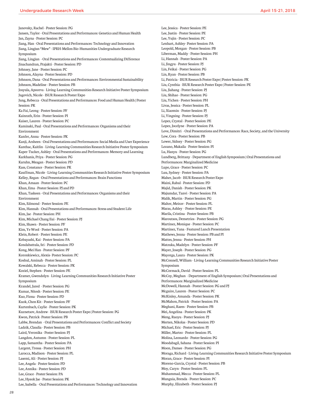Janovsky, Rachel - Poster Session: PG Jansen, Taylor - Oral Presentations and Performances: Genetics and Human Health Jan, Zayna - Poster Session: PC Jiang, Han - Oral Presentations and Performances: Technology and Innovation Jiang, Lingjun "Mew" - IPRH-Mellon Bio-Humanities Undergraduate Research Symposium Jiang, Lingjun - Oral Presentations and Performances: Contextualizing Difference Jinachandran, Prajakti - Poster Session: PD Johnsey, Jane - Poster Session: PC Johnson, Alayna - Poster Session: PD Johnson, Dana - Oral Presentations and Performances: Environmental Sustainability Johnson, Madeline - Poster Session: PB Josyula, Apoorva - Living-Learning Communities Research Initiative Poster Symposium Jugovich, Nicole - ISUR Research Poster Expo Jung, Rebecca - Oral Presentations and Performances: Food and Human Health | Poster Session: PK Ka Fai, Leong - Poster Session: PF Kainrath, Erin - Poster Session: PI Kaiser, Lauren - Poster Session: PC Kaminski, Paul - Oral Presentations and Performances: Organisms and their Environment Kanfer, Anna - Poster Session: PK Kanji, Arsheen - Oral Presentations and Performances: Social Media and User Experience Kanthac, Kaitlin - Living-Learning Communities Research Initiative Poster Symposium Kaper-Tucker, Ashley - Oral Presentations and Performances: Memory and Learning Karkhanis, Priya - Poster Session: PG Karuhn, Meagan - Poster Session: PD Kass, Constance - Poster Session: PK Kauffman, Nicole - Living-Learning Communities Research Initiative Poster Symposium Kelley, Regan - Oral Presentations and Performances: Brain Functions Khan, Amaan - Poster Session: PC Khan, Ema - Poster Session: PJ and PD Khan, Taskeen - Oral Presentations and Performances: Organisms and their Environment Kim, Edmond - Poster Session: PE Kim, Hannah - Oral Presentations and Performances: Stress and Student Life Kim, Jae - Poster Session: PH Kim, Michael Chang Eui - Poster Session: PJ Kim, Shawn - Poster Session: PF Kim, Ye Wool - Poster Session: PA Klein, Robert - Poster Session: PE Kobayashi, Kai - Poster Session: PA Kondabattula, Sri - Poster Session: PD Kong, Mei Han - Poster Session: PF Koronkiewicz, Alexis- Poster Session: PC Koshul, Aminah - Poster Session: PL Kowalski, Rebecca - Poster Session: PK Koziel, Stephen - Poster Session: PE Kramer, Gwendolyn - Living-Learning Communities Research Initiative Poster Symposium Krandel, Jared - Poster Session: PG Kumar, Nitesh - Poster Session: PE Kuo, Fiona - Poster Session: PD Kuok, Chon Kit - Poster Session: PF Kurtenbach, Caylie - Poster Session: PK Kuznetsov, Andrew - ISUR Research Poster Expo | Poster Session: PG Kwon, Patrick- Poster Session: PB Labbe, Brendan - Oral Presentations and Performances: Conflict and Society Ladzik, Claudia - Poster Session: PB Laird, Veronika - Poster Session: PJ Langdon, Autumn - Poster Session: PL Lapp, Samantha - Poster Session: PA Largent, Tressa - Poster Session: PH Larocca, Madison - Poster Session: PL Lasemi, Ali - Poster Session: PJ Lee, Angela - Poster Session: PD Lee, Annika - Poster Session: PD Lee, Grace - Poster Session: PA Lee, Hyeok Jae - Poster Session: PK Lee, Isabella - Oral Presentations and Performances: Technology and Innovation

Lee, Jessica - Poster Session: PE Lee, Justin - Poster Session: PE Lee, Yujin - Poster Session: PC Lenhart, Ashley- Poster Session: PA Leopold, Morgan - Poster Session: PB Liberman, Maddy - Poster Session: PH Li, Hannah - Poster Session: PA Li, Jingyu - Poster Session: PJ Lin, Feikai - Poster Session: PG Lin, Ryan - Poster Session: PB Li, Patricia - ISUR Research Poster Expo | Poster Session: PK Liu, Cynthia - ISUR Research Poster Expo | Poster Session: PE Liu, Jiahang - Poster Session: PJ Liu, Shihao - Poster Session: PG Liu, Yichen - Poster Session: PH Livas, Jessica - Poster Session: PL Li, Xiaomin - Poster Session: PJ Li, Yingxing - Poster Session: PJ Lopez, Crystal - Poster Session: PE Lopez, Jocelyne - Poster Session: PA Love, Dimitri - Oral Presentations and Performances: Race, Society, and the University Low, Cora - Poster Session: PB Lower, Sidney - Poster Session: PG Lozano, Makaila - Poster Session: PI Lu, Hanyu - Poster Session: PG Lundberg, Brittany - Department of English Symposium | Oral Presentations and Performances: Marginalized Medicine Lupo, Grace - Poster Session: PC Luu, Sydney - Poster Session: PA Maher, Jacob - ISUR Research Poster Expo Maini, Rahul - Poster Session: PD Majid, Danish - Poster Session: PK Majumdar, Tanvi - Poster Session: PA Malik, Martin - Poster Session: PG Malter, Meirav - Poster Session: PL Maras, Ashley - Poster Session: PE Marila, Cristina - Poster Session: PB Maroutsos, Demetrios - Poster Session: PG Martinez, Monique - Poster Session: PC Martinez, Yana - Featured Lunch Presentation Mathews, Jenna - Poster Session: PB and PI Mattes, Jenna - Poster Session: PH Matzuka, Madelyn - Poster Session: PF Mayer, Joseph - Poster Session: PG Mayorga, Laura - Poster Session: PK McConnell, William - Living-Learning Communities Research Initiative Poster Symposium McCormack, David - Poster Session: PL McCoy, Meghan - Department of English Symposium | Oral Presentations and Performances: Marginalized Medicine McDowell, Hannah - Poster Session: PG and PJ Mcguire, Lauren - Poster Session: PC McKinley, Amanda - Poster Session: PK McMahon, Patrick - Poster Session: PA Meghani, Raees - Poster Session: PB Mei, Angelina - Poster Session: PK Meng, Ruoyu - Poster Session: PJ Merten, Nikolas - Poster Session: PD Michael, Eric - Poster Session: PJ Miller, Martez - Poster Session: PL Molina, Leonardo - Poster Session: PG Moodabagil, Sahana - Poster Session: PI Moon, Damee - Poster Session: PG Moraga, Richard - Living-Learning Communities Research Initiative Poster Symposium Moran, Grace - Poster Session: PI Moreno-Garcia, Crystal - Poster Session: PB Moy, Caryn - Poster Session: PL Muhammad, Mecca - Poster Session: PL Munguia, Brenda - Poster Session: PC Murphy, Elizabeth - Poster Session: PJ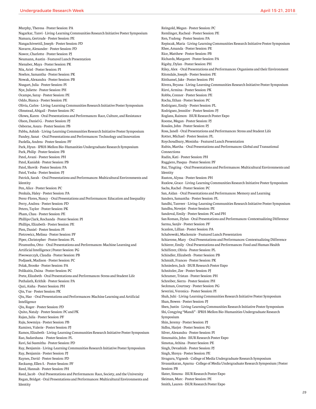Murphy, Theresa - Poster Session: PA Nagarkar, Tanvi - Living-Learning Communities Research Initiative Poster Symposium Namara, Gertrude - Poster Session: PE Nangachiveettil, Joseph - Poster Session: PD Navarre, Alexander - Poster Session: PD Nawor, Charlotte - Poster Session: PJ Neumann, Austin - Featured Lunch Presentation Nienaber, Maya - Poster Session: PK Nix, Ariel - Poster Session: PI Noehre, Samantha - Poster Session: PK Nowak, Alexandra - Poster Session: PB Nusgart, Julia - Poster Session: PI Nye, Juliette - Poster Session: PH Ocampo, Saray - Poster Session: PE Oddo, Bianca - Poster Session: PE Olivia, Carlos - Living-Learning Communities Research Initiative Poster Symposium Olmstead, Abigail – Poster Session: PC Olowu, Karen - Oral Presentations and Performances: Race, Culture, and Resistance Olson, Daniel G. - Poster Session: PJ Osborne, Asura - Poster Session: PB Pabba, Ashish - Living-Learning Communities Research Initiative Poster Symposium Pandey, Sanat - Oral Presentations and Performances: Technology and Innovation Paolella, Andrea - Poster Session: PF Park, Hyun - IPRH-Mellon Bio-Humanities Undergraduate Research Symposium Park, Philip - Poster Session: PB Patel, Avani - Poster Session: PH Patel, Kanishk - Poster Session: PB Patel, Shovik - Poster Session: PA Patel, Yesha - Poster Session: PJ Patrick, Sarah - Oral Presentations and Performances: Multicultural Environments and Identity Pen, Alice - Poster Session: PC Penkala, Haley - Poster Session: PA Perez-Flores, Nancy - Oral Presentations and Performances: Education and Inequality Perry, Andrea - Poster Session: PD Peters, Taylor - Poster Session: PK Pham, Chau - Poster Session: PE Phillips Clark, Rochanda - Poster Session: PI Phillips, Elizabeth - Poster Session: PE Pien, Daniel - Poster Session: PI Pietrowicz, Melissa - Poster Session: PF Piper, Christopher - Poster Session: PL Piramuthu, Otto - Oral Presentations and Performances: Machine Learning and Artificial Intelligence | Poster Session: PG Piwowarczyk, Claudia - Poster Session: PB Podjasek, Madison - Poster Session: PC Polak, Brooke - Poster Session: PA Polikaitis, Daina - Poster Session: PC Prete, Elizabeth - Oral Presentations and Performances: Stress and Student Life Puthalath, Krithik - Poster Session: PA Qazi, Aisha - Poster Session: PH Qin, Yue - Poster Session: PK Qiu, Hao - Oral Presentations and Performances: Machine Learning and Artificial Intelligence Qiu, Roger - Poster Session: PD Quito, Nataly - Poster Session: PC and PK Rajan, Julia - Poster Session: PF Raju, Sowmiya - Poster Session: PB Ramirez, Valerie - Poster Session: PJ Ramos, Elizabeth - Living-Learning Communities Research Initiative Poster Symposium Rao, Sudarshana - Poster Session: PL Ravi, Sai Susmitha - Poster Session: PD Ray, Benjamin - Living-Learning Communities Research Initiative Poster Symposium Ray, Benjamin - Poster Session: PJ Raynes, David - Poster Session: PD Reckamp, Ellen S. - Poster Session: PF Reed, Hannah - Poster Session: PH Reed, Jacob - Oral Presentations and Performances: Race, Society, and the University Regan, Bridget - Oral Presentations and Performances: Multicultural Environments and Identity

Reingold, Megan - Poster Session: PC Remlinger, Racheal - Poster Session: PE Ren, Yudong - Poster Session: PA Repiscak, Maria - Living-Learning Communities Research Initiative Poster Symposium Rhee, Amanda - Poster Session: PE Rice, Matthew - Poster Session: PB Richards, Margaret - Poster Session: PA Rigsby, Dylan - Poster Session: PH Riley, Alex - Oral Presentations and Performances: Organisms and their Environment Ritondale, Joseph - Poster Session: PE Ritthamel, Jake - Poster Session: PH Rivera, Bryana - Living-Learning Communities Research Initiative Poster Symposium Rizvi, Armina - Poster Session: PK Robbs, Connor - Poster Session: PE Rocha, Ethan - Poster Session: PC Rodriguez, Emily - Poster Session: PL Rodriguez, Jennifer - Poster Session: PJ Roglans, Raimon - ISUR Research Poster Expo Roome, Megan - Poster Session: PJ Rosales, John - Poster Session: PJ Ross, Janell - Oral Presentations and Performances: Stress and Student Life Rotter, Michael - Poster Session: PL Roychoudhury, Monisha - Featured Lunch Presentation Rubin, Martha - Oral Presentations and Performances: Global and Transational Connections Rudin, Kati - Poster Session: PH Ruggiero, Pasqua - Poster Session: PF Rui, Tingting - Oral Presentations and Performances: Multicultural Environments and Identity Ruston, Alyssa - Poster Session: PH Ruxlow, Grace - Living-Learning Communities Research Initiative Poster Symposium Sachs, Rachel - Poster Session: PC San, Aidan - Oral Presentations and Performances: Memory and Learning Sanders, Samantha - Poster Session: PL Sandhi, Tanveer - Living-Learning Communities Research Initiative Poster Symposium Sandhu, Novejot - Poster Session: PE Sandoval, Emily - Poster Session: PC and PH San Roman, Dylan - Oral Presentations and Performances: Contextualizing Difference Sarma, Sanjiv - Poster Session: PF Scanlon, Lillian - Poster Session: PA Schabowski, Mackenzie - Featured Lunch Presentation Schiavone, Mary - Oral Presentations and Performances: Contextualizing Difference Schierer, Emily - Oral Presentations and Performances: Food and Human Health Schifferer, Olivia - Poster Session: PL Schindler, Elizabeth - Poster Session: PB Schmidt, Frances - Poster Session: PK Schnieders, Jack - ISUR Research Poster Expo Schnitzler, Zoe - Poster Session: PJ Schramer, Tristan - Poster Session: PH Schreiber, Sierra - Poster Session: PH Seckman, Courtney - Poster Session: PG Severini, Veronica - Poster Session: PI Shah, Juhi - Living-Learning Communities Research Initiative Poster Symposium Shan, Bowen - Poster Session: PJ Shen, Justin - Living-Learning Communities Research Initiative Poster Symposium Shi, Congying "Mandi" - IPRH-Mellon Bio-Humanities Undergraduate Research Symposium Shin, Jeremy - Poster Session: PJ Sidhu, Harjot - Poster Session: PG Silver, Alexandra - Poster Session: PI Simonaitis, John - ISUR Research Poster Expo Simotas, Athina - Poster Session: PE Singh, Devashish - Poster Session: PJ Singh, Shreya - Poster Session: PE Sivaguru, Vignesh - College of Media Undergraduate Research Symposium Sivasankaran, Aparna - College of Media Undergraduate Research Symposium | Poster Session: PB Slater, Simona - ISUR Research Poster Expo Sleiman, Marc - Poster Session: PE Smith, Lauren - ISUR Research Poster Expo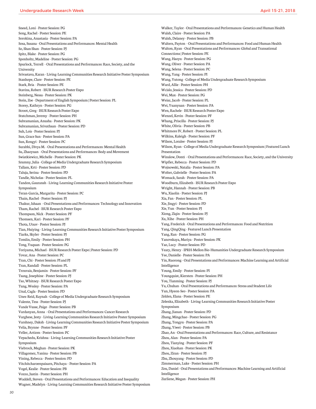Sneed, Loni - Poster Session: PG Song, Rachel - Poster Session: PE Sorokina, Anastasia - Poster Session: PA Sosa, Susana - Oral Presentations and Performances: Mental Health So, Shan Shan - Poster Session: PJ Spitz, Blake - Poster Session: PG Sponholtz, Madeline - Poster Session: PG Spurlock, Terrell - Oral Presentations and Performances: Race, Society, and the University Srivastava, Karan - Living-Learning Communities Research Initiative Poster Symposium Stanhope, Clare - Poster Session: PE Stark, Bria - Poster Session: PE Stavins, Robert - ISUR Research Poster Expo Steinberg, Nessa - Poster Session: PK Stein, Zoe - Department of English Symposium | Poster Session: PL Storey, Kathryn - Poster Session: PG Stroot, Greg - ISUR Research Poster Expo Stutchman, Jeremy - Poster Session: PH Subramanian, Anusha - Poster Session: PK Subramanian, Srivathsan - Poster Session: PD Suh, Lois - Poster Session: PJ Sun, Grace Sun - Poster Session: PA Sun, Rongyi - Poster Session: PC Surabhi, Divya M. - Oral Presentations and Performances: Mental Health Su, Zhaoyuan - Oral Presentations and Performances: Body and Movement Swiatkiewicz, Michelle - Poster Session: PK Szumny, Julia - College of Media Undergraduate Research Symposium Tallam, Krti - Poster Session: PD Taluja, Serina - Poster Session: PD Tandle, Nicholas - Poster Session: PL Tandon, Gauransh - Living-Learning Communities Research Initiative Poster Symposium Teran-Garcia, Margarita - Poster Session: PC Thain, Rachel - Poster Session: PJ Thakur, Ishaan - Oral Presentations and Performances: Technology and Innovation Tham, Rachel - ISUR Research Poster Expo Thompson, Nick - Poster Session: PF Thomsen, Kari - Poster Session: PF Thota, Utsav - Poster Session: PJ Tian, Huiying - Living-Learning Communities Research Initiative Poster Symposium Tiarks, Skyler - Poster Session: PJ Tomlin, Emily - Poster Session: PH Tong, Yuquan - Poster Session: PG Toriyama, Michael - ISUR Research Poster Expo | Poster Session: PD Tovar, Ana - Poster Session: PC Tran, Chi - Poster Session: PI and PJ Tran, Randall - Poster Session: PL Trouvais, Benjamin - Poster Session: PF Tsang, Josephine - Poster Session: PJ Tso, Whitney - ISUR Research Poster Expo Tung, Wesley - Poster Session: PA Unal, Cagla - Poster Session: PD Unes-Reid, Raynah - College of Media Undergraduate Research Symposium Valente, Tess - Poster Session: PJ Vande Vusse, Paige - Poster Session: PB Vardanyan, Anna - Oral Presentations and Performances: Cancer Research Varghese, Jesty - Living-Learning Communities Research Initiative Poster Symposium Varshney, Daksh - Living-Learning Communities Research Initiative Poster Symposium Velia, Brynne - Poster Session: PF Veller, Artiom - Poster Session: PC Vepachedu, Krishna - Living-Learning Communities Research Initiative Poster Symposium Viebrock, Meghan - Poster Session: PK Villagomez, Yanina - Poster Session: PB Vining, Rebecca - Poster Session: PD Vitchitcharoenpaisarn, Pitchaya – Poster Session: PA Vogel, Kealie - Poster Session: PB Vozzo, Justin - Poster Session: PH Waddell, Steven - Oral Presentations and Performances: Education and Inequality Wagner, Madelyn - Living-Learning Communities Research Initiative Poster Symposium Walker, Taylor - Oral Presentations and Performances: Genetics and Human Health Walsh, Claire - Poster Session: PA Walsh, Delaney - Poster Session: PB Walters, Payton - Oral Presentations and Performances: Food and Human Health Walton, Ryan - Oral Presentations and Performances: Global and Transational Connections | Poster Session: PE Wang, Haoyu - Poster Session: PG Wang, Oliver - Poster Session: PA Wang, Selena - Poster Session: PC Wang, Yang - Poster Session: PI Wang, Yutong - College of Media Undergraduate Research Symposium Ward, Allie - Poster Session: PH Wcislo, Jessica - Poster Session: PD Wei, Max - Poster Session: PG Weisz, Jacob - Poster Session: PL Wei, Yuanyuan - Poster Session: PA Wen, Rachele - ISUR Research Poster Expo Wenzel, Kevin - Poster Session: PF Whang, Priscilla - Poster Session: PJ White, Olivia - Poster Session: PB Whitmore IV, Robert - Poster Session: PL Wilkins, Kaleigh - Poster Session: PF Wilson, Loralee - Poster Session: PJ Wilson, Ryan - College of Media Undergraduate Research Symposium | Featured Lunch Presentation Winslow, Dontï - Oral Presentations and Performances: Race, Society, and the University Wipfler, Rebecca - Poster Session: PD Wojnowski, Natalia - Poster Session: PA Wolter, Gabrielle - Poster Session: PA Womack, Sarah - Poster Session: PA Woodburn, Elizabeth - ISUR Research Poster Expo Wright, Hannah - Poster Session: PB Wu, Xiaolin - Poster Session: PJ Xia, Fan - Poster Session: PL Xie, Jingyi - Poster Session: PD Xie, Yun - Poster Session: PJ Xiong, Ziqin - Poster Session: PJ Xu, Xihe - Poster Session: PH Yang, Frederick - Oral Presentations and Performances: Food and Nutrition Yang, QingQing - Featured Lunch Presentation Yang, Ran - Poster Session: PG Yanovskaya, Mariya - Poster Session: PK Yao, Lucy - Poster Session: PD Yeary, Henry - IPRH-Mellon Bio-Humanities Undergraduate Research Symposium Yee, Danielle - Poster Session: PA Yin, Ruorong - Oral Presentations and Performances: Machine Learning and Artificial Intelligence Young, Emily - Poster Session: PI Youngquist, Kiersten - Poster Session: PH You, Tianming - Poster Session: PJ Yu, Chuhan - Oral Presentations and Performances: Stress and Student Life Yun, Hyeon-Seo - Poster Session: PA Zelden, Elana - Poster Session: PE Zelenka, Elizabeth - Living-Learning Communities Research Initiative Poster Symposium Zhang, Jianan - Poster Session: PD Zhang, Mingchao - Poster Session: PG Zhang, Tongyu - Poster Session: PA Zhang, Yiwei - Poster Session: PB Zhao, An - Oral Presentations and Performances: Race, Culture, and Resistance Zhou, Alan - Poster Session: PA Zhou, Tianying - Poster Session: PF Zhou, Xiaohan - Poster Session: PK Zhou, Ziran - Poster Session: PJ Zhu, Zhouyang - Poster Session: PD Zimmerman, Luke - Poster Session: PH Zou, Daniel - Oral Presentations and Performances: Machine Learning and Artificial Intelligence Zurliene, Megan - Poster Session: PH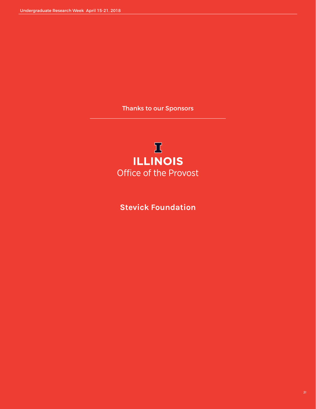Thanks to our Sponsors

# $\mathbf I$ **ILLINOIS** Office of the Provost

**Stevick Foundation**